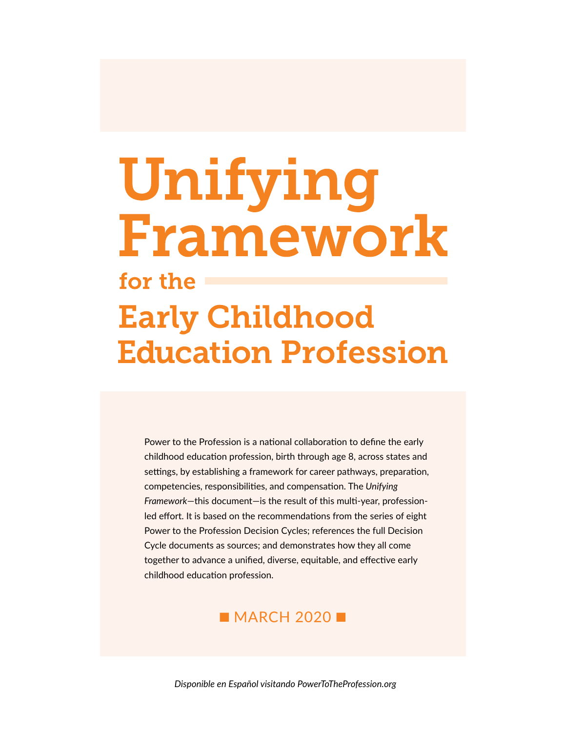# **Unifying<br>Framework**<br>for the<br>Early Childhood<br>Education Profession

Power to the Profession is a national collaboration to define the early childhood education profession, birth through age 8, across states and settings, by establishing a framework for career pathways, preparation, competencies, responsibilities, and compensation. The *Unifying Framework*—this document—is the result of this multi-year, professionled effort. It is based on the recommendations from the series of eight Power to the Profession Decision Cycles; references the full Decision Cycle documents as sources; and demonstrates how they all come together to advance a unified, diverse, equitable, and effective early childhood education profession.

### $MARCH$  2020  $n$

*Disponible en Español visitando PowerToTheProfession.org*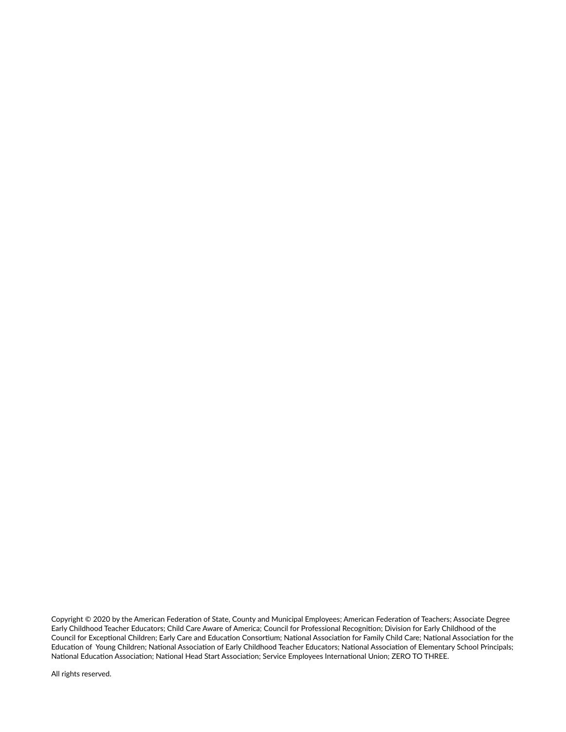Copyright © 2020 by the American Federation of State, County and Municipal Employees; American Federation of Teachers; Associate Degree Early Childhood Teacher Educators; Child Care Aware of America; Council for Professional Recognition; Division for Early Childhood of the Council for Exceptional Children; Early Care and Education Consortium; National Association for Family Child Care; National Association for the Education of Young Children; National Association of Early Childhood Teacher Educators; National Association of Elementary School Principals; National Education Association; National Head Start Association; Service Employees International Union; ZERO TO THREE.

All rights reserved.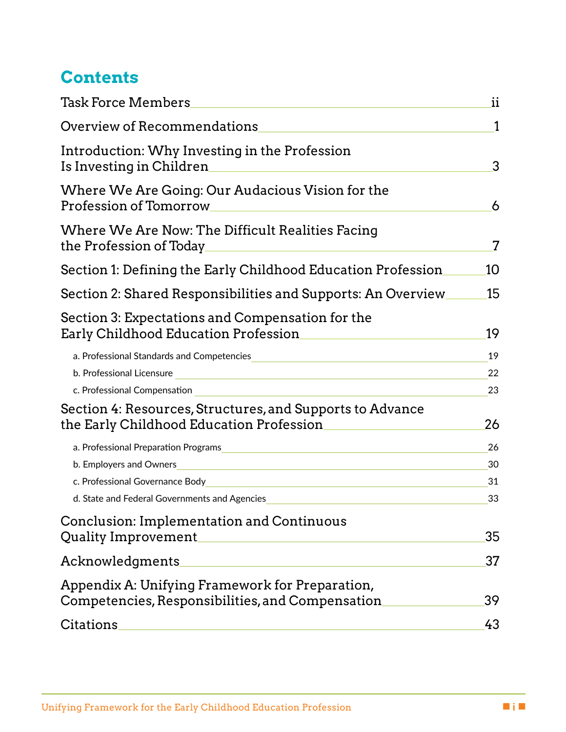# **Contents**

| Task Force Members                                                                                            | ii |
|---------------------------------------------------------------------------------------------------------------|----|
| Overview of Recommendations                                                                                   |    |
| Introduction: Why Investing in the Profession<br>Is Investing in Children                                     | 3  |
| Where We Are Going: Our Audacious Vision for the<br><b>Profession of Tomorrow</b>                             | 6  |
| Where We Are Now: The Difficult Realities Facing<br>the Profession of Today                                   | 7  |
| Section 1: Defining the Early Childhood Education Profession                                                  | 10 |
| Section 2: Shared Responsibilities and Supports: An Overview                                                  | 15 |
| Section 3: Expectations and Compensation for the<br>Early Childhood Education Profession                      | 19 |
| a. Professional Standards and Competencies                                                                    | 19 |
| b. Professional Licensure and the contract of the contract of the contract of the contract of the contract of | 22 |
| c. Professional Compensation                                                                                  | 23 |
| Section 4: Resources, Structures, and Supports to Advance<br>the Early Childhood Education Profession         | 26 |
| a. Professional Preparation Programs                                                                          | 26 |
| b. Employers and Owners                                                                                       | 30 |
| c. Professional Governance Body Change and Change and Change and Change and Change and                        | 31 |
| d. State and Federal Governments and Agencies                                                                 | 33 |
| Conclusion: Implementation and Continuous<br>Quality Improvement                                              | 35 |
|                                                                                                               |    |
| Acknowledgments                                                                                               | 37 |
| Appendix A: Unifying Framework for Preparation,<br>Competencies, Responsibilities, and Compensation           | 39 |
| <b>Citations</b>                                                                                              | 43 |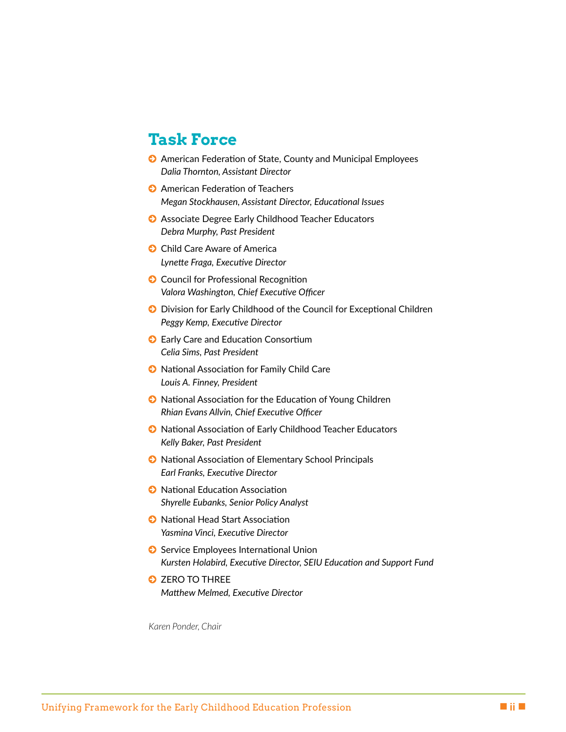## **Task Force**

- © American Federation of State, County and Municipal Employees *Dalia Thornton, Assistant Director*
- © American Federation of Teachers *Megan Stockhausen, Assistant Director, Educational Issues*
- Associate Degree Early Childhood Teacher Educators *Debra Murphy, Past President*
- © Child Care Aware of America *Lynette Fraga, Executive Director*
- © Council for Professional Recognition *Valora Washington, Chief Executive Officer*
- © Division for Early Childhood of the Council for Exceptional Children *Peggy Kemp, Executive Director*
- © Early Care and Education Consortium *Celia Sims, Past President*
- © National Association for Family Child Care *Louis A. Finney, President*
- © National Association for the Education of Young Children *Rhian Evans Allvin, Chief Executive Officer*
- © National Association of Early Childhood Teacher Educators *Kelly Baker, Past President*
- National Association of Elementary School Principals *Earl Franks, Executive Director*
- © National Education Association *Shyrelle Eubanks, Senior Policy Analyst*
- © National Head Start Association *Yasmina Vinci, Executive Director*
- <span id="page-3-0"></span>**◯** Service Employees International Union *Kursten Holabird, Executive Director, SEIU Education and Support Fund*  **LASK TOTC-**<br> **CARGORY**<br> **CARGORY**<br> **CARGORY**<br> **CARGORY**<br> **CARGORY**<br> **CARGORY**<br> **CARGORY**<br> **CARGORY**<br> **CARGORY**<br> **CARGORY**<br> **CARGORY**<br> **CARGORY**<br> **CARGORY**<br> **CARGORY**<br> **CARGORY**<br> **CARGORY**<br> **CARGORY**<br> **CARGORY**<br> **CARGORY**<br>
	- © ZERO TO THREE *Matthew Melmed, Executive Director*

*Karen Ponder, Chair*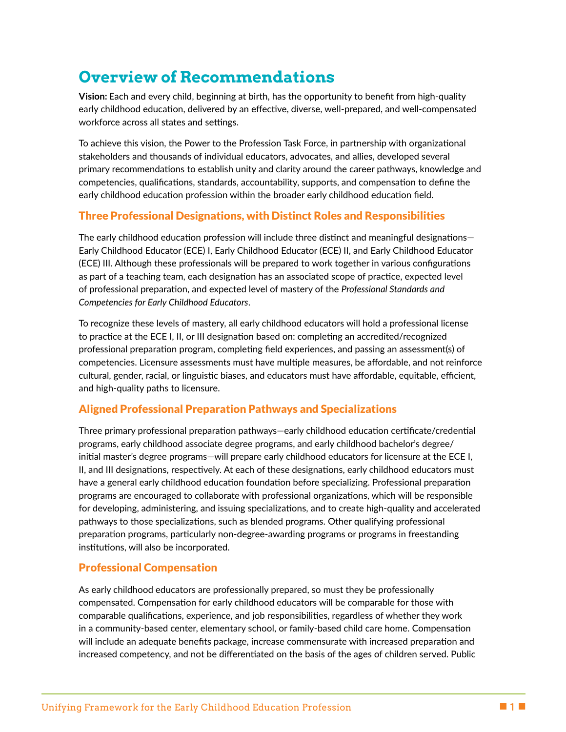# <span id="page-4-0"></span>**Overview of Recommendations**

**Vision:** Each and every child, beginning at birth, has the opportunity to benefit from high-quality early childhood education, delivered by an effective, diverse, well-prepared, and well-compensated workforce across all states and settings.

To achieve this vision, the Power to the Profession Task Force, in partnership with organizational stakeholders and thousands of individual educators, advocates, and allies, developed several primary recommendations to establish unity and clarity around the career pathways, knowledge and competencies, qualifications, standards, accountability, supports, and compensation to define the early childhood education profession within the broader early childhood education field.

#### Three Professional Designations, with Distinct Roles and Responsibilities

The early childhood education profession will include three distinct and meaningful designations— Early Childhood Educator (ECE) I, Early Childhood Educator (ECE) II, and Early Childhood Educator (ECE) III. Although these professionals will be prepared to work together in various configurations as part of a teaching team, each designation has an associated scope of practice, expected level of professional preparation, and expected level of mastery of the *Professional Standards and Competencies for Early Childhood Educators*.

To recognize these levels of mastery, all early childhood educators will hold a professional license to practice at the ECE I, II, or III designation based on: completing an accredited/recognized professional preparation program, completing field experiences, and passing an assessment(s) of competencies. Licensure assessments must have multiple measures, be affordable, and not reinforce cultural, gender, racial, or linguistic biases, and educators must have affordable, equitable, efficient, and high-quality paths to licensure.

#### Aligned Professional Preparation Pathways and Specializations

Three primary professional preparation pathways—early childhood education certificate/credential programs, early childhood associate degree programs, and early childhood bachelor's degree/ initial master's degree programs—will prepare early childhood educators for licensure at the ECE I, II, and III designations, respectively. At each of these designations, early childhood educators must have a general early childhood education foundation before specializing. Professional preparation programs are encouraged to collaborate with professional organizations, which will be responsible for developing, administering, and issuing specializations, and to create high-quality and accelerated pathways to those specializations, such as blended programs. Other qualifying professional preparation programs, particularly non-degree-awarding programs or programs in freestanding institutions, will also be incorporated. To achieve his vision, the Power for the Protession Task Force, in partnership with organizational<br>primary economications to diminish and control of the protession and primary recompendent<br>primary recommendations to establ

#### Professional Compensation

As early childhood educators are professionally prepared, so must they be professionally compensated. Compensation for early childhood educators will be comparable for those with comparable qualifications, experience, and job responsibilities, regardless of whether they work in a community-based center, elementary school, or family-based child care home. Compensation will include an adequate benefits package, increase commensurate with increased preparation and increased competency, and not be differentiated on the basis of the ages of children served. Public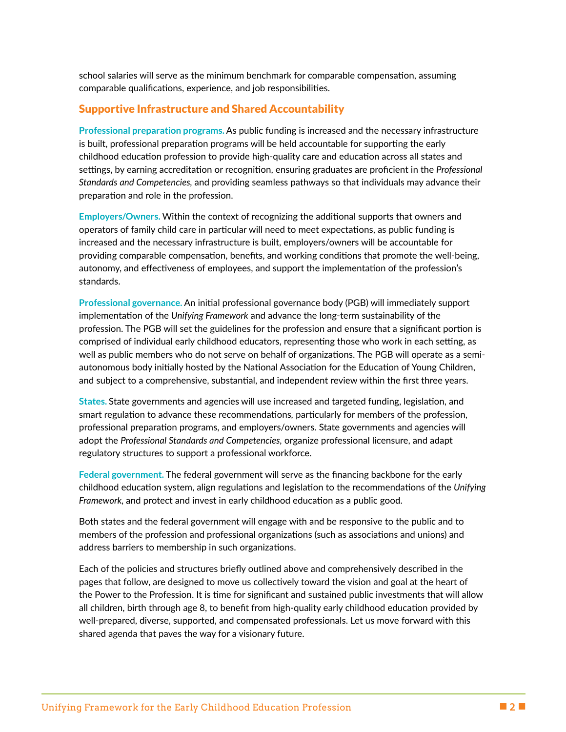school salaries will serve as the minimum benchmark for comparable compensation, assuming comparable qualifications, experience, and job responsibilities.

#### Supportive Infrastructure and Shared Accountability

**Professional preparation programs.** As public funding is increased and the necessary infrastructure is built, professional preparation programs will be held accountable for supporting the early childhood education profession to provide high-quality care and education across all states and settings, by earning accreditation or recognition, ensuring graduates are proficient in the *Professional Standards and Competencies,* and providing seamless pathways so that individuals may advance their preparation and role in the profession.

**Employers/Owners.** Within the context of recognizing the additional supports that owners and operators of family child care in particular will need to meet expectations, as public funding is increased and the necessary infrastructure is built, employers/owners will be accountable for providing comparable compensation, benefits, and working conditions that promote the well-being, autonomy, and effectiveness of employees, and support the implementation of the profession's standards.

**Professional governance.** An initial professional governance body (PGB) will immediately support implementation of the *Unifying Framework* and advance the long-term sustainability of the profession. The PGB will set the guidelines for the profession and ensure that a significant portion is comprised of individual early childhood educators, representing those who work in each setting, as well as public members who do not serve on behalf of organizations. The PGB will operate as a semiautonomous body initially hosted by the National Association for the Education of Young Children, and subject to a comprehensive, substantial, and independent review within the first three years. is built, professional preparation properance will be held accountable for supporting the early<br>buildhood education prefersion to provide high-quality care and education across all stabes and<br>settings, by earning accellati

**States.** State governments and agencies will use increased and targeted funding, legislation, and smart regulation to advance these recommendations*,* particularly for members of the profession, professional preparation programs, and employers/owners. State governments and agencies will adopt the *Professional Standards and Competencies,* organize professional licensure, and adapt regulatory structures to support a professional workforce.

**Federal government.** The federal government will serve as the financing backbone for the early childhood education system, align regulations and legislation to the recommendations of the *Unifying Framework,* and protect and invest in early childhood education as a public good.

Both states and the federal government will engage with and be responsive to the public and to members of the profession and professional organizations (such as associations and unions) and address barriers to membership in such organizations.

Each of the policies and structures briefly outlined above and comprehensively described in the pages that follow, are designed to move us collectively toward the vision and goal at the heart of the Power to the Profession. It is time for significant and sustained public investments that will allow all children, birth through age 8, to benefit from high-quality early childhood education provided by well-prepared, diverse, supported, and compensated professionals. Let us move forward with this shared agenda that paves the way for a visionary future.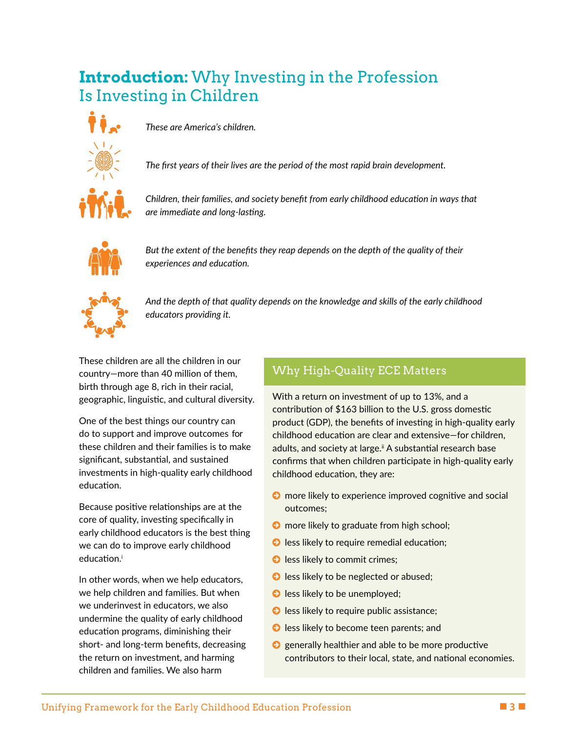# <span id="page-6-0"></span>**Introduction:** Why Investing in the Profession Is Investing in Children



*These are America's children.*

*The first years of their lives are the period of the most rapid brain development.*

*Children, their families, and society benefit from early childhood education in ways that are immediate and long-lasting.*



*But the extent of the benefits they reap depends on the depth of the quality of their experiences and education.*



*And the depth of that quality depends on the knowledge and skills of the early childhood educators providing it.*

These children are all the children in our country—more than 40 million of them, birth through age 8, rich in their racial, geographic, linguistic, and cultural diversity.

One of the best things our country can do to support and improve outcomes for these children and their families is to make significant, substantial, and sustained investments in high-quality early childhood education.

Because positive relationships are at the core of quality, investing specifically in early childhood educators is the best thing we can do to improve early childhood education.<sup>i</sup>

In other words, when we help educators, we help children and families. But when we underinvest in educators, we also undermine the quality of early childhood education programs, diminishing their short- and long-term benefits, decreasing the return on investment, and harming children and families. We also harm

#### Why High-Quality ECE Matters

With a return on investment of up to 13%, and a contribution of \$163 billion to the U.S. gross domestic product (GDP), the benefits of investing in high-quality early childhood education are clear and extensive—for children, adults, and society at large.<sup>ii</sup> A substantial research base confirms that when children participate in high-quality early childhood education, they are: The first years of their lives are the period of the most rapid brain development.<br>
The first year in medical cand bring scaling and society benefit from early childhood education in ways that<br> **CARGORET CONSULTER THE CONS** 

- © more likely to experience improved cognitive and social outcomes;
- © more likely to graduate from high school;
- **◯** less likely to require remedial education;
- © less likely to commit crimes;
- **◯** less likely to be neglected or abused;
- **◯** less likely to be unemployed;
- **◯** less likely to require public assistance;
- © less likely to become teen parents; and
- **◯** generally healthier and able to be more productive contributors to their local, state, and national economies.

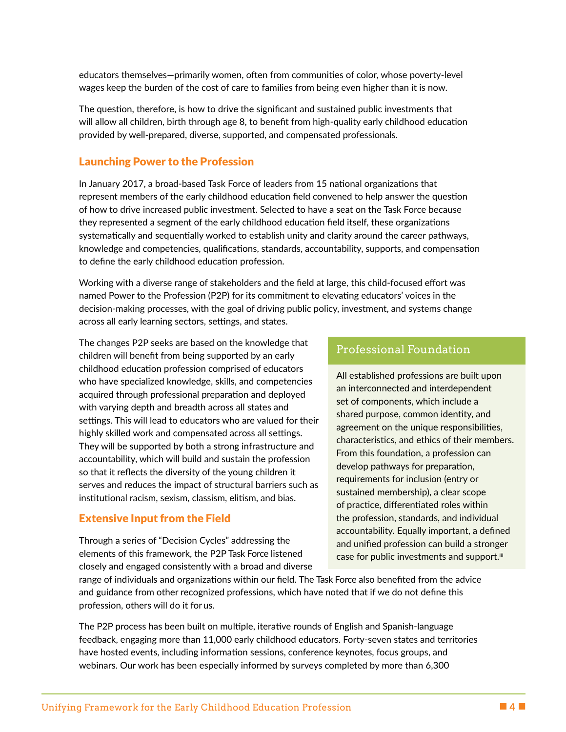educators themselves—primarily women, often from communities of color, whose poverty-level wages keep the burden of the cost of care to families from being even higher than it is now.

The question, therefore, is how to drive the significant and sustained public investments that will allow all children, birth through age 8, to benefit from high-quality early childhood education provided by well-prepared, diverse, supported, and compensated professionals.

#### Launching Power to the Profession

In January 2017, a broad-based Task Force of leaders from 15 national organizations that represent members of the early childhood education field convened to help answer the question of how to drive increased public investment. Selected to have a seat on the Task Force because they represented a segment of the early childhood education field itself, these organizations systematically and sequentially worked to establish unity and clarity around the career pathways, knowledge and competencies, qualifications, standards, accountability, supports, and compensation to define the early childhood education profession.

Working with a diverse range of stakeholders and the field at large, this child-focused effort was named Power to the Profession (P2P) for its commitment to elevating educators' voices in the decision-making processes, with the goal of driving public policy, investment, and systems change across all early learning sectors, settings, and states.

The changes P2P seeks are based on the knowledge that children will benefit from being supported by an early childhood education profession comprised of educators who have specialized knowledge, skills, and competencies acquired through professional preparation and deployed with varying depth and breadth across all states and settings. This will lead to educators who are valued for their highly skilled work and compensated across all settings. They will be supported by both a strong infrastructure and accountability, which will build and sustain the profession so that it reflects the diversity of the young children it serves and reduces the impact of structural barriers such as institutional racism, sexism, classism, elitism, and bias. **Launching Power to the Profession**<br>
In January 2017, a broad-based Task Force of leaders from 15 mational organizations that<br>
represent members of the early childhood education field converted in the parewer the question<br>

#### Extensive Input from the Field

Through a series of "Decision Cycles" addressing the elements of this framework, the P2P Task Force listened closely and engaged consistently with a broad and diverse

All established professions are built upon an interconnected and interdependent set of components, which include a shared purpose, common identity, and agreement on the unique responsibilities, characteristics, and ethics of their members. From this foundation, a profession can develop pathways for preparation, requirements for inclusion (entry or sustained membership), a clear scope of practice, differentiated roles within the profession, standards, and individual accountability. Equally important, a defined and unified profession can build a stronger case for public investments and support.<sup>iii</sup>

range of individuals and organizations within our field. The Task Force also benefited from the advice and guidance from other recognized professions, which have noted that if we do not define this profession, others will do it for us.

The P2P process has been built on multiple, iterative rounds of English and Spanish-language feedback, engaging more than 11,000 early childhood educators. Forty-seven states and territories have hosted events, including information sessions, conference keynotes, focus groups, and webinars. Our work has been especially informed by surveys completed by more than 6,300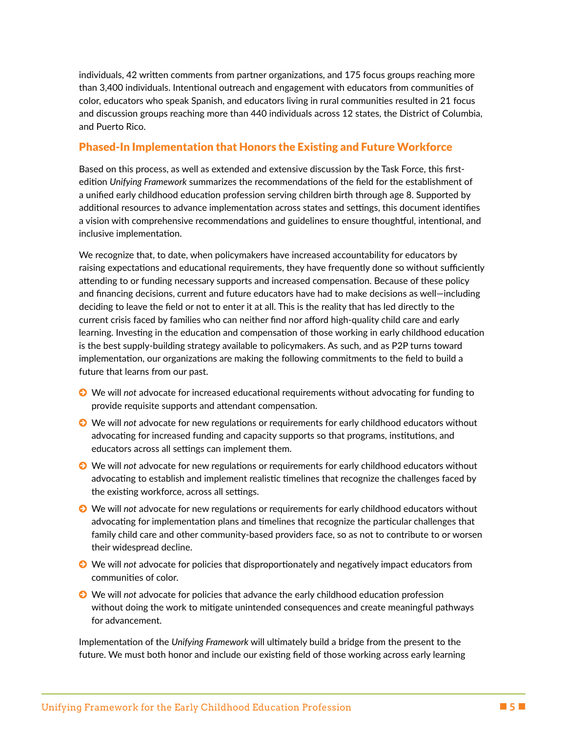individuals, 42 written comments from partner organizations, and 175 focus groups reaching more than 3,400 individuals. Intentional outreach and engagement with educators from communities of color, educators who speak Spanish, and educators living in rural communities resulted in 21 focus and discussion groups reaching more than 440 individuals across 12 states, the District of Columbia, and Puerto Rico.

#### Phased-In Implementation that Honors the Existing and Future Workforce

Based on this process, as well as extended and extensive discussion by the Task Force, this firstedition *Unifying Framework* summarizes the recommendations of the field for the establishment of a unified early childhood education profession serving children birth through age 8. Supported by additional resources to advance implementation across states and settings, this document identifies a vision with comprehensive recommendations and guidelines to ensure thoughtful, intentional, and inclusive implementation.

We recognize that, to date, when policymakers have increased accountability for educators by raising expectations and educational requirements, they have frequently done so without sufficiently attending to or funding necessary supports and increased compensation. Because of these policy and financing decisions, current and future educators have had to make decisions as well—including deciding to leave the field or not to enter it at all. This is the reality that has led directly to the current crisis faced by families who can neither find nor afford high-quality child care and early learning. Investing in the education and compensation of those working in early childhood education is the best supply-building strategy available to policymakers. As such, and as P2P turns toward implementation, our organizations are making the following commitments to the field to build a future that learns from our past. **Phased - In Implementation that Honors the Existing and Future Workforce**<br>Based on this process, as well as extended and extensive discussion by the Task Force, this finest<br>difformation of this present and extended and ex

- © We will *not* advocate for increased educational requirements without advocating for funding to provide requisite supports and attendant compensation.
- © We will *not* advocate for new regulations or requirements for early childhood educators without advocating for increased funding and capacity supports so that programs, institutions, and educators across all settings can implement them.
- © We will *not* advocate for new regulations or requirements for early childhood educators without advocating to establish and implement realistic timelines that recognize the challenges faced by the existing workforce, across all settings.
- © We will *not* advocate for new regulations or requirements for early childhood educators without advocating for implementation plans and timelines that recognize the particular challenges that family child care and other community-based providers face, so as not to contribute to or worsen their widespread decline.
- © We will *not* advocate for policies that disproportionately and negatively impact educators from communities of color.
- © We will *not* advocate for policies that advance the early childhood education profession without doing the work to mitigate unintended consequences and create meaningful pathways for advancement.

Implementation of the *Unifying Framework* will ultimately build a bridge from the present to the future. We must both honor and include our existing field of those working across early learning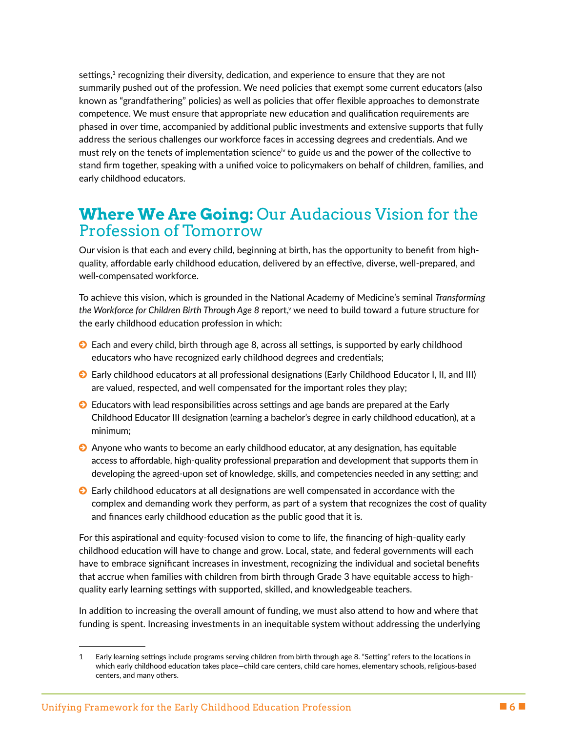<span id="page-9-0"></span>settings,<sup>1</sup> recognizing their diversity, dedication, and experience to ensure that they are not summarily pushed out of the profession. We need policies that exempt some current educators (also known as "grandfathering" policies) as well as policies that offer flexible approaches to demonstrate competence. We must ensure that appropriate new education and qualification requirements are phased in over time, accompanied by additional public investments and extensive supports that fully address the serious challenges our workforce faces in accessing degrees and credentials. And we must rely on the tenets of implementation science<sup>iv</sup> to guide us and the power of the collective to stand firm together, speaking with a unified voice to policymakers on behalf of children, families, and early childhood educators.

## **Where We Are Going:** Our Audacious Vision for the Profession of Tomorrow

Our vision is that each and every child, beginning at birth, has the opportunity to benefit from highquality, affordable early childhood education, delivered by an effective, diverse, well-prepared, and well-compensated workforce.

To achieve this vision, which is grounded in the National Academy of Medicine's seminal *Transforming*  the Workforce for Children Birth Through Age 8 report,<sup>v</sup> we need to build toward a future structure for the early childhood education profession in which:

- **◯** Each and every child, birth through age 8, across all settings, is supported by early childhood educators who have recognized early childhood degrees and credentials;
- © Early childhood educators at all professional designations (Early Childhood Educator I, II, and III) are valued, respected, and well compensated for the important roles they play;
- © Educators with lead responsibilities across settings and age bands are prepared at the Early Childhood Educator III designation (earning a bachelor's degree in early childhood education), at a minimum;
- © Anyone who wants to become an early childhood educator, at any designation, has equitable access to affordable, high-quality professional preparation and development that supports them in developing the agreed-upon set of knowledge, skills, and competencies needed in any setting; and
- © Early childhood educators at all designations are well compensated in accordance with the complex and demanding work they perform, as part of a system that recognizes the cost of quality and finances early childhood education as the public good that it is.

For this aspirational and equity-focused vision to come to life, the financing of high-quality early childhood education will have to change and grow. Local, state, and federal governments will each have to embrace significant increases in investment, recognizing the individual and societal benefits that accrue when families with children from birth through Grade 3 have equitable access to highquality early learning settings with supported, skilled, and knowledgeable teachers. and form teaching the state of the state of the conservation of the state of the state of the state of the state of the state of the collective to state the power of the collective to state the power of the collective to s

In addition to increasing the overall amount of funding, we must also attend to how and where that funding is spent. Increasing investments in an inequitable system without addressing the underlying

<sup>1</sup> Early learning settings include programs serving children from birth through age 8. "Setting" refers to the locations in which early childhood education takes place—child care centers, child care homes, elementary schools, religious-based centers, and many others.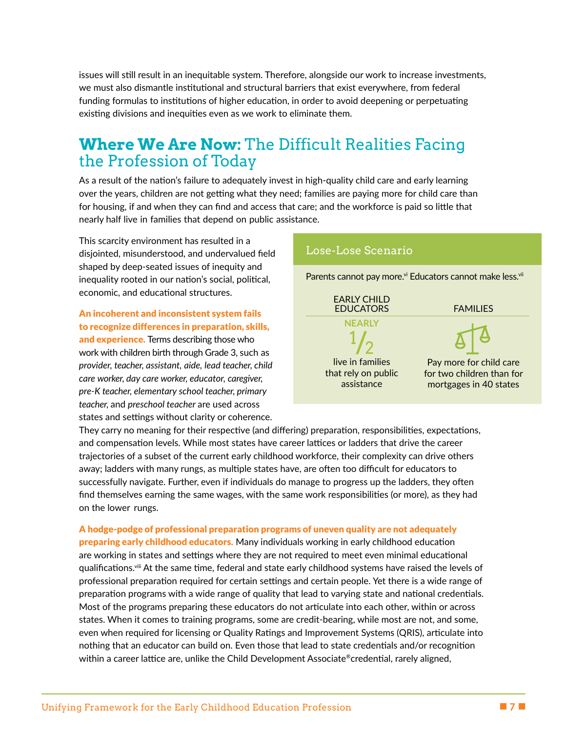<span id="page-10-0"></span>issues will still result in an inequitable system. Therefore, alongside our work to increase investments, we must also dismantle institutional and structural barriers that exist everywhere, from federal funding formulas to institutions of higher education, in order to avoid deepening or perpetuating existing divisions and inequities even as we work to eliminate them.

# **Where We Are Now:** The Difficult Realities Facing the Profession of Today

As a result of the nation's failure to adequately invest in high-quality child care and early learning over the years, children are not getting what they need; families are paying more for child care than for housing, if and when they can find and access that care; and the workforce is paid so little that nearly half live in families that depend on public assistance.

This scarcity environment has resulted in a disjointed, misunderstood, and undervalued field shaped by deep-seated issues of inequity and inequality rooted in our nation's social, political, economic, and educational structures.

#### An incoherent and inconsistent system fails to recognize differences in preparation, skills,

and experience. Terms describing those who work with children birth through Grade 3, such as *provider, teacher, assistant, aide, lead teacher, child care worker, day care worker, educator, caregiver, pre-K teacher, elementary school teacher, primary teacher,* and *preschool teacher* are used across states and settings without clarity or coherence.

#### Lose-Lose Scenario

Parents cannot pay more.<sup>vi</sup> Educators cannot make less.<sup>vii</sup>



They carry no meaning for their respective (and differing) preparation, responsibilities, expectations, and compensation levels. While most states have career lattices or ladders that drive the career trajectories of a subset of the current early childhood workforce, their complexity can drive others away; ladders with many rungs, as multiple states have, are often too difficult for educators to successfully navigate. Further, even if individuals do manage to progress up the ladders, they often find themselves earning the same wages, with the same work responsibilities (or more), as they had on the lower rungs. **Where We Are Now:** The Difficult Realities Facing<br>
the Profession of Today<br>
so result of the mations failure to adequately invest in high-quality child care and early learning<br>
over the years, children are not getting wha

A hodge-podge of professional preparation programs of uneven quality are not adequately preparing early childhood educators. Many individuals working in early childhood education are working in states and settings where they are not required to meet even minimal educational qualifications.viii At the same time, federal and state early childhood systems have raised the levels of professional preparation required for certain settings and certain people. Yet there is a wide range of preparation programs with a wide range of quality that lead to varying state and national credentials. Most of the programs preparing these educators do not articulate into each other, within or across states. When it comes to training programs, some are credit-bearing, while most are not, and some, even when required for licensing or Quality Ratings and Improvement Systems (QRIS), articulate into nothing that an educator can build on. Even those that lead to state credentials and/or recognition within a career lattice are, unlike the Child Development Associate®credential, rarely aligned,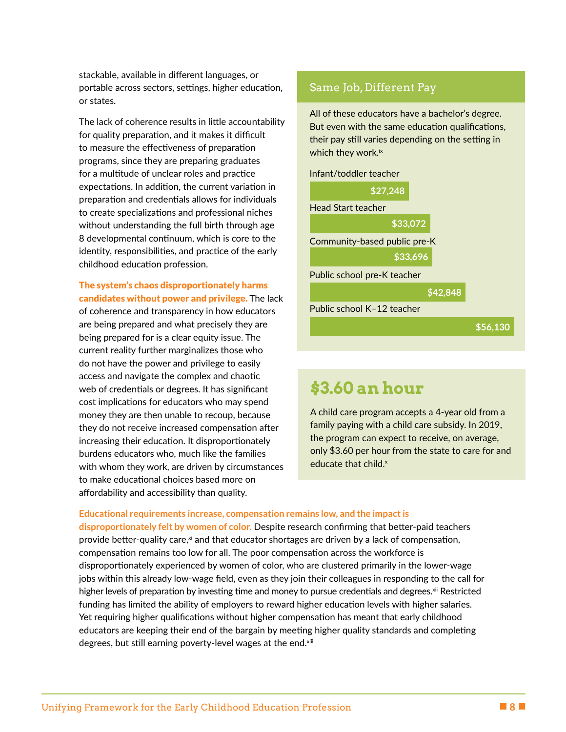stackable, available in different languages, or portable across sectors, settings, higher education, or states.

The lack of coherence results in little accountability for quality preparation, and it makes it difficult to measure the effectiveness of preparation programs, since they are preparing graduates for a multitude of unclear roles and practice expectations. In addition, the current variation in preparation and credentials allows for individuals to create specializations and professional niches without understanding the full birth through age 8 developmental continuum, which is core to the identity, responsibilities, and practice of the early childhood education profession.

#### The system's chaos disproportionately harms candidates without power and privilege. The lack

of coherence and transparency in how educators are being prepared and what precisely they are being prepared for is a clear equity issue. The current reality further marginalizes those who do not have the power and privilege to easily access and navigate the complex and chaotic web of credentials or degrees. It has significant cost implications for educators who may spend money they are then unable to recoup, because they do not receive increased compensation after increasing their education. It disproportionately burdens educators who, much like the families with whom they work, are driven by circumstances to make educational choices based more on affordability and accessibility than quality. to meanue the effectiveness of pregnation<br>
morganus, since they are preparing graduates<br>
for a multitude of undering radiustes<br>
for a multitude of undering radiustes<br>
to recent some and profession in<br>
tead Start Leader<br>
te

#### Same Job, Different Pay

All of these educators have a bachelor's degree. But even with the same education qualifications, their pay still varies depending on the setting in which they work.<sup>ix</sup>

#### Infant/toddler teacher **\$27,248**



# **\$3.60 an hour**

A child care program accepts a 4-year old from a family paying with a child care subsidy. In 2019, the program can expect to receive, on average, only \$3.60 per hour from the state to care for and educate that child.<sup>x</sup>

#### **Educational requirements increase, compensation remains low, and the impact is**

**disproportionately felt by women of color.** Despite research confirming that better-paid teachers provide better-quality care, $x_i$  and that educator shortages are driven by a lack of compensation, compensation remains too low for all. The poor compensation across the workforce is disproportionately experienced by women of color, who are clustered primarily in the lower-wage jobs within this already low-wage field, even as they join their colleagues in responding to the call for higher levels of preparation by investing time and money to pursue credentials and degrees.<sup>xii</sup> Restricted funding has limited the ability of employers to reward higher education levels with higher salaries. Yet requiring higher qualifications without higher compensation has meant that early childhood educators are keeping their end of the bargain by meeting higher quality standards and completing degrees, but still earning poverty-level wages at the end.<sup>xiii</sup>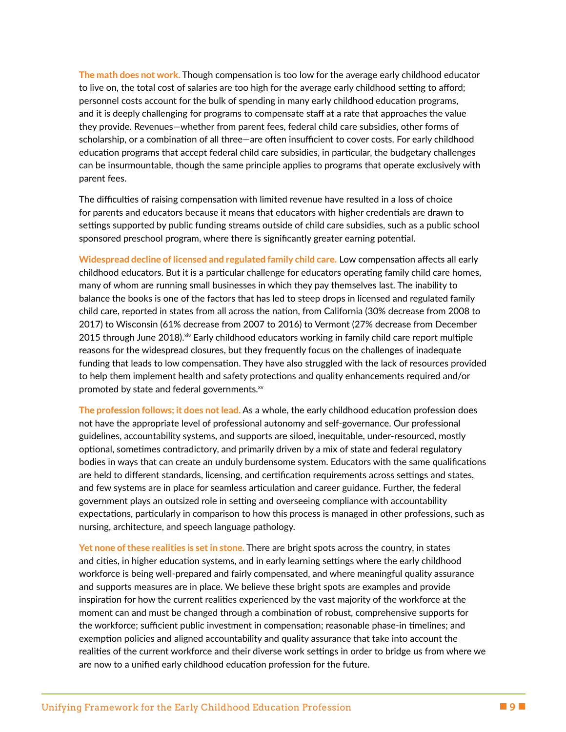**The math does not work.** Though compensation is too low for the average early childhood educator to live on, the total cost of salaries are too high for the average early childhood setting to afford; personnel costs account for the bulk of spending in many early childhood education programs, and it is deeply challenging for programs to compensate staff at a rate that approaches the value they provide. Revenues—whether from parent fees, federal child care subsidies, other forms of scholarship, or a combination of all three—are often insufficient to cover costs. For early childhood education programs that accept federal child care subsidies, in particular, the budgetary challenges can be insurmountable, though the same principle applies to programs that operate exclusively with parent fees.

The difficulties of raising compensation with limited revenue have resulted in a loss of choice for parents and educators because it means that educators with higher credentials are drawn to settings supported by public funding streams outside of child care subsidies, such as a public school sponsored preschool program, where there is significantly greater earning potential.

**Widespread decline of licensed and regulated family child care.** Low compensation affects all early childhood educators. But it is a particular challenge for educators operating family child care homes, many of whom are running small businesses in which they pay themselves last. The inability to balance the books is one of the factors that has led to steep drops in licensed and regulated family child care, reported in states from all across the nation, from California (30% decrease from 2008 to 2017) to Wisconsin (61% decrease from 2007 to 2016) to Vermont (27% decrease from December 2015 through June 2018). $\dot{x}v$  Early childhood educators working in family child care report multiple reasons for the widespread closures, but they frequently focus on the challenges of inadequate funding that leads to low compensation. They have also struggled with the lack of resources provided to help them implement health and safety protections and quality enhancements required and/or promoted by state and federal governments.<sup>xv</sup> structure into the unit of the the same principle applies the base of the structure interest of the same principle applies to proper and the structure of the interest of the memoritation programs that accept testeral child

**The profession follows; it does not lead.** As a whole, the early childhood education profession does not have the appropriate level of professional autonomy and self-governance. Our professional guidelines, accountability systems, and supports are siloed, inequitable, under-resourced, mostly optional, sometimes contradictory, and primarily driven by a mix of state and federal regulatory bodies in ways that can create an unduly burdensome system. Educators with the same qualifications are held to different standards, licensing, and certification requirements across settings and states, and few systems are in place for seamless articulation and career guidance. Further, the federal government plays an outsized role in setting and overseeing compliance with accountability expectations, particularly in comparison to how this process is managed in other professions, such as nursing, architecture, and speech language pathology.

**Yet none of these realities is set in stone.** There are bright spots across the country, in states and cities, in higher education systems, and in early learning settings where the early childhood workforce is being well-prepared and fairly compensated, and where meaningful quality assurance and supports measures are in place. We believe these bright spots are examples and provide inspiration for how the current realities experienced by the vast majority of the workforce at the moment can and must be changed through a combination of robust, comprehensive supports for the workforce; sufficient public investment in compensation; reasonable phase-in timelines; and exemption policies and aligned accountability and quality assurance that take into account the realities of the current workforce and their diverse work settings in order to bridge us from where we are now to a unified early childhood education profession for the future.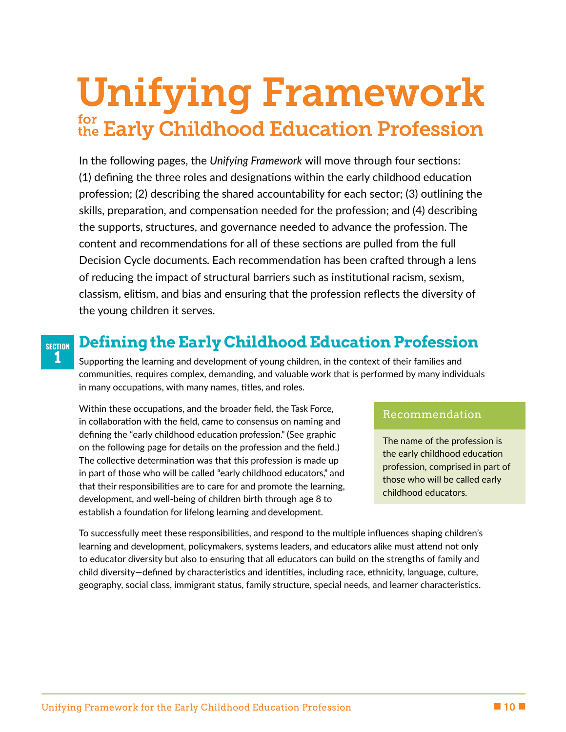# <span id="page-13-0"></span>**Unifying Framework**

In the following pages, the *Unifying Framework* will move through four sections: (1) defining the three roles and designations within the early childhood education profession; (2) describing the shared accountability for each sector; (3) outlining the skills, preparation, and compensation needed for the profession; and (4) describing the supports, structures, and governance needed to advance the profession. The content and recommendations for all of these sections are pulled from the full Decision Cycle documents*.* Each recommendation has been crafted through a lens of reducing the impact of structural barriers such as institutional racism, sexism, classism, elitism, and bias and ensuring that the profession reflects the diversity of the young children it serves. Example the commendation of these sections are pulled from the full<br>commendations for all of these sections are pulled from the full<br>discussion. The commendation has been crafted through a lens<br>in part of structural barrie In the following pages, the Unifying Framework will move through four sections:<br>
(1) defining the three roles and designations within the early childhood education<br>profession; (2) describing the shared accountability for e

**SECTION 1**

# **Defining the Early Childhood Education Profession**

Supporting the learning and development of young children, in the context of their families and communities, requires complex, demanding, and valuable work that is performed by many individuals in many occupations, with many names, titles, and roles.

Within these occupations, and the broader field, the Task Force, in collaboration with the field, came to consensus on naming and defining the "early childhood education profession." (See graphic on the following page for details on the profession and the field.) The collective determination was that this profession is made up in part of those who will be called "early childhood educators," and that their responsibilities are to care for and promote the learning, development, and well-being of children birth through age 8 to establish a foundation for lifelong learning and development.

#### Recommendation

The name of the profession is the early childhood education profession, comprised in part of

To successfully meet these responsibilities, and respond to the multiple influences shaping children's learning and development, policymakers, systems leaders, and educators alike must attend not only to educator diversity but also to ensuring that all educators can build on the strengths of family and child diversity—defined by characteristics and identities, including race, ethnicity, language, culture, geography, social class, immigrant status, family structure, special needs, and learner characteristics.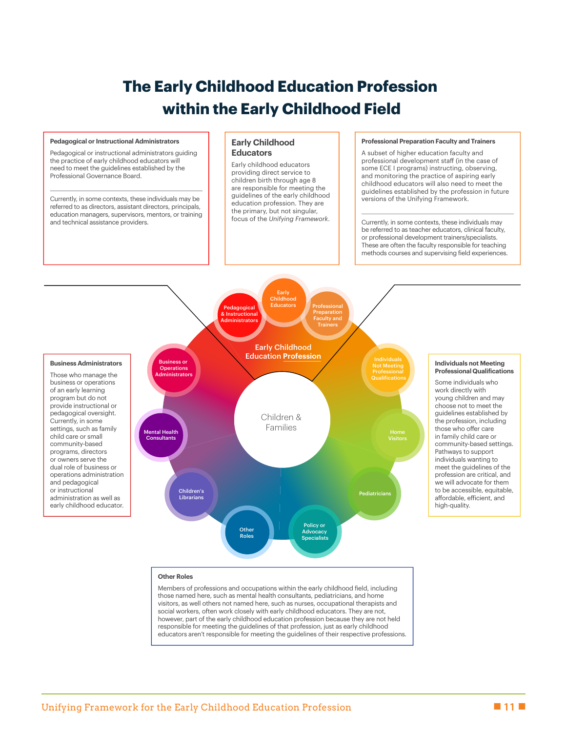# **The Early Childhood Education Profession within the Early Childhood Field**



those named here, such as mental health consultants, pediatricians, and home visitors, as well others not named here, such as nurses, occupational therapists and social workers, often work closely with early childhood educators. They are not, however, part of the early childhood education profession because they are not held responsible for meeting the guidelines of that profession, just as early childhood educators aren't responsible for meeting the guidelines of their respective professions.

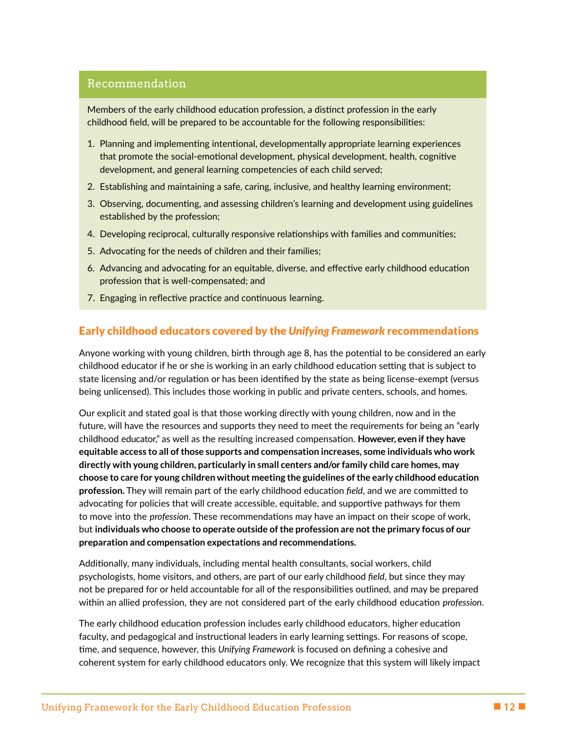#### Recommendation

Members of the early childhood education profession, a distinct profession in the early childhood field, will be prepared to be accountable for the following responsibilities:

- 1. Planning and implementing intentional, developmentally appropriate learning experiences that promote the social-emotional development, physical development, health, cognitive development, and general learning competencies of each child served;
- 2. Establishing and maintaining a safe, caring, inclusive, and healthy learning environment;
- 3. Observing, documenting, and assessing children's learning and development using guidelines established by the profession;
- 4. Developing reciprocal, culturally responsive relationships with families and communities;
- 5. Advocating for the needs of children and their families;
- 6. Advancing and advocating for an equitable, diverse, and effective early childhood education profession that is well-compensated; and
- 7. Engaging in reflective practice and continuous learning.

#### Early childhood educators covered by the *Unifying Framework* recommendations

Anyone working with young children, birth through age 8, has the potential to be considered an early childhood educator if he or she is working in an early childhood education setting that is subject to state licensing and/or regulation or has been identified by the state as being license-exempt (versus being unlicensed). This includes those working in public and private centers, schools, and homes.

Our explicit and stated goal is that those working directly with young children, now and in the future, will have the resources and supports they need to meet the requirements for being an "early childhood educator," as well as the resulting increased compensation. **However, even if they have equitable access to all of those supports and compensation increases, some individuals who work directly with young children, particularly in small centers and/or family child care homes, may choose to care for young children without meeting the guidelines of the early childhood education profession.** They will remain part of the early childhood education *field*, and we are committed to advocating for policies that will create accessible, equitable, and supportive pathways for them to move into the *profession*. These recommendations may have an impact on their scope of work, but **individuals who choose to operate outside of the profession are not the primary focus of our preparation and compensation expectations and recommendations.** 1. Planning and implementing interioring, dieteelopment, byisizal dievelopment, parality appropriate learning competents.<br>
2. Extabisting and maintaining a safe, caring, including the space of the caring competers.<br>
2. Ext

Additionally, many individuals, including mental health consultants, social workers, child psychologists, home visitors, and others, are part of our early childhood *field*, but since they may not be prepared for or held accountable for all of the responsibilities outlined, and may be prepared within an allied profession, they are not considered part of the early childhood education *profession*.

The early childhood education profession includes early childhood educators, higher education faculty, and pedagogical and instructional leaders in early learning settings. For reasons of scope, time, and sequence, however, this *Unifying Framework* is focused on defining a cohesive and coherent system for early childhood educators only. We recognize that this system will likely impact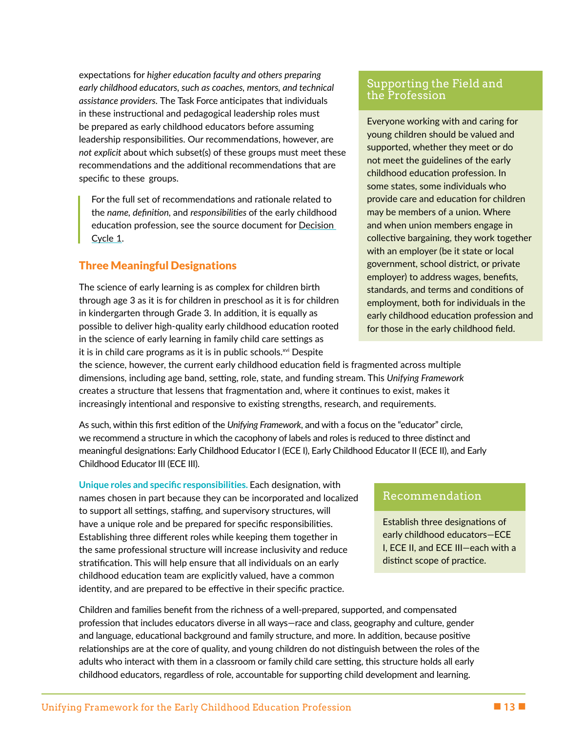expectations for *higher education faculty and others preparing early childhood educators, such as coaches, mentors, and technical assistance providers.* The Task Force anticipates that individuals in these instructional and pedagogical leadership roles must be prepared as early childhood educators before assuming leadership responsibilities. Our recommendations, however, are *not explicit* about which subset(s) of these groups must meet these recommendations and the additional recommendations that are specific to these groups.

For the full set of recommendations and rationale related to the *name, definition,* and *responsibilities* of the early childhood education profession, see the source document for Decision Cycle 1.

#### Three Meaningful Designations

The science of early learning is as complex for children birth through age 3 as it is for children in preschool as it is for children in kindergarten through Grade 3. In addition, it is equally as possible to deliver high-quality early childhood education rooted in the science of early learning in family child care settings as it is in child care programs as it is in public schools. $x^M$  Despite

#### the science, however, the current early childhood education field is fragmented across multiple dimensions, including age band, setting, role, state, and funding stream. This *Unifying Framework*  creates a structure that lessens that fragmentation and, where it continues to exist, makes it increasingly intentional and responsive to existing strengths, research, and requirements.

As such, within this first edition of the *Unifying Framework*, and with a focus on the "educator" circle, we recommend a structure in which the cacophony of labels and roles is reduced to three distinct and meaningful designations: Early Childhood Educator I (ECE I), Early Childhood Educator II (ECE II), and Early Childhood Educator III (ECE III). **Example the Solution of the Unifying Franceson** Collective bargaining<br> **Example the Solution Collective bargaining**<br> **Example the standards, and term**<br> **Example the standards, and the standards and term**<br> **Example the Sol** 

**Unique roles and specific responsibilities.** Each designation, with names chosen in part because they can be incorporated and localized to support all settings, staffing, and supervisory structures, will have a unique role and be prepared for specific responsibilities. Establishing three different roles while keeping them together in the same professional structure will increase inclusivity and reduce stratification. This will help ensure that all individuals on an early childhood education team are explicitly valued, have a common identity, and are prepared to be effective in their specific practice. meatership exponding the confinential continues. [O](https://www.naeyc.org/sites/default/files/globally-shared/downloads/PDFs/our-work/initiatives/consensus-draft-decision-cycle-1.pdf)ur recommendations and the distinct scope of practice. The scope of practice is a stabilistic scope of practice. The commendations and training term of the scope of the sco

Children and families benefit from the richness of a well-prepared, supported, and compensated profession that includes educators diverse in all ways—race and class, geography and culture, gender and language, educational background and family structure, and more. In addition, because positive relationships are at the core of quality, and young children do not distinguish between the roles of the adults who interact with them in a classroom or family child care setting, this structure holds all early childhood educators, regardless of role, accountable for supporting child development and learning.

Supporting the Field and

Everyone working with and caring for young children should be valued and supported, whether they meet or do not meet the guidelines of the early childhood education profession. In some states, some individuals who provide care and education for children may be members of a union. Where and when union members engage in collective bargaining, they work together with an employer (be it state or local government, school district, or private employer) to address wages, benefits, standards, and terms and conditions of employment, both for individuals in the early childhood education profession and for those in the early childhood field.

#### Recommendation

Establish three designations of early childhood educators—ECE I, ECE II, and ECE III—each with a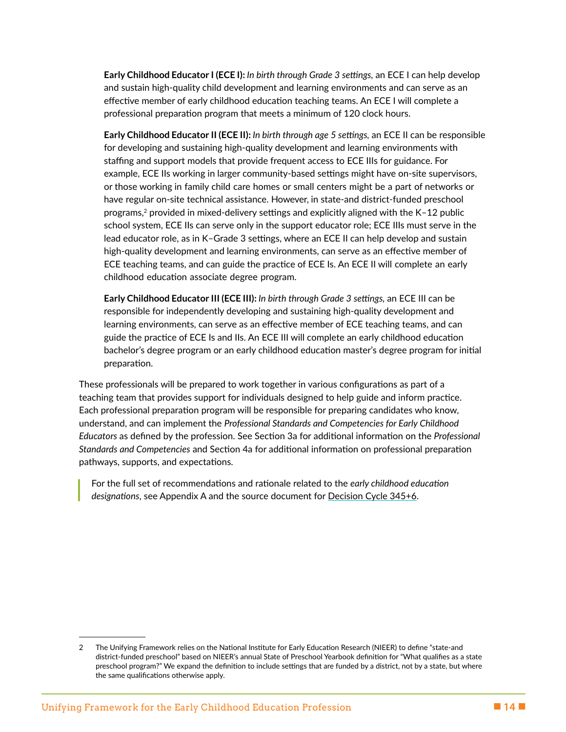**Early Childhood Educator I (ECE I):** *In birth through Grade 3 settings,* an ECE I can help develop and sustain high-quality child development and learning environments and can serve as an effective member of early childhood education teaching teams. An ECE I will complete a professional preparation program that meets a minimum of 120 clock hours.

**Early Childhood Educator II (ECE II):** *In birth through age 5 settings,* an ECE II can be responsible for developing and sustaining high-quality development and learning environments with staffing and support models that provide frequent access to ECE IIIs for guidance. For example, ECE IIs working in larger community-based settings might have on-site supervisors, or those working in family child care homes or small centers might be a part of networks or have regular on-site technical assistance. However, in state-and district-funded preschool programs,<sup>2</sup> provided in mixed-delivery settings and explicitly aligned with the K-12 public school system, ECE IIs can serve only in the support educator role; ECE IIIs must serve in the lead educator role, as in K–Grade 3 settings, where an ECE II can help develop and sustain high-quality development and learning environments, can serve as an effective member of ECE teaching teams, and can guide the practice of ECE Is. An ECE II will complete an early childhood education associate degree program. tor developing and sustaining high-quality development and learning environments with<br>the formulation and suspect to the transmittive based at the particle of the state of the stample, ECE lis to enching in larger communit

**Early Childhood Educator III (ECE III):** *In birth through Grade 3 settings,* an ECE III can be responsible for independently developing and sustaining high-quality development and learning environments, can serve as an effective member of ECE teaching teams, and can guide the practice of ECE Is and IIs. An ECE III will complete an early childhood education bachelor's degree program or an early childhood education master's degree program for initial preparation.

These professionals will be prepared to work together in various configurations as part of a teaching team that provides support for individuals designed to help guide and inform practice. Each professional preparation program will be responsible for preparing candidates who know, understand, and can implement the *Professional Standards and Competencies for Early Childhood Educators* as defined by the profession. See Section 3a for additional information on the *Professional Standards and Competencies* and Section 4a for additional information on professional preparation pathways, supports, and expectations.

For the full set of recommendations and rationale related to the *early childhood education designations*, see Appendix A and the source document for Decision Cycle 345+6.

<sup>2</sup> The Unifying Framework relies on the National Institute for Early Education Research (NIEER) to define "state-and district-funded preschool" based on NIEER's annual State of Preschool Yearbook definition for "What qualifies as a state preschool program?" We expand the definition to include settings that are funded by a district, not by a state, but where the same qualifications otherwise apply.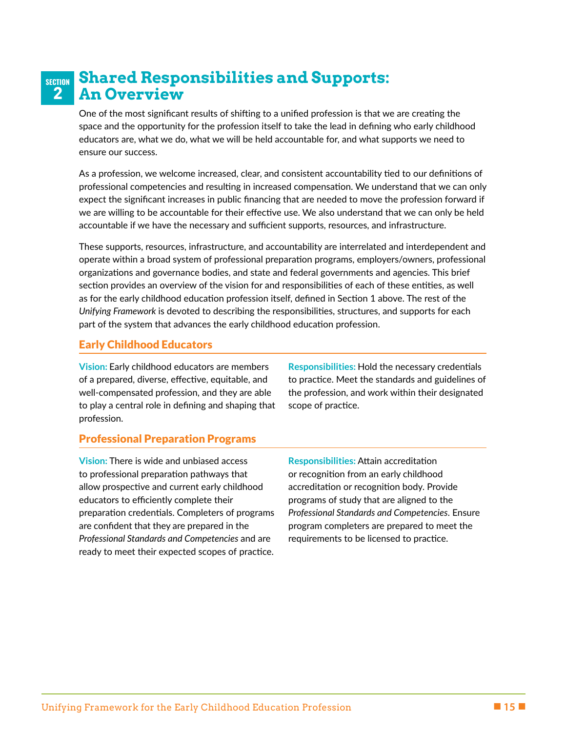#### <span id="page-18-0"></span>**Shared Responsibilities and Supports: An Overview SECTION 2**

One of the most significant results of shifting to a unified profession is that we are creating the space and the opportunity for the profession itself to take the lead in defining who early childhood educators are, what we do, what we will be held accountable for, and what supports we need to ensure our success.

As a profession, we welcome increased, clear, and consistent accountability tied to our definitions of professional competencies and resulting in increased compensation. We understand that we can only expect the significant increases in public financing that are needed to move the profession forward if we are willing to be accountable for their effective use. We also understand that we can only be held accountable if we have the necessary and sufficient supports, resources, and infrastructure.

These supports, resources, infrastructure, and accountability are interrelated and interdependent and operate within a broad system of professional preparation programs, employers/owners, professional organizations and governance bodies, and state and federal governments and agencies. This brief section provides an overview of the vision for and responsibilities of each of these entities, as well as for the early childhood education profession itself, defined in Section 1 above. The rest of the *Unifying Framework* is devoted to describing the responsibilities, structures, and supports for each part of the system that advances the early childhood education profession. exone are winter on, when we win use near accountable to it, and wine suppose we need to ensure our success.<br>
As a profession, we welcome increased, clear, and consistent accountability tied to our definitions of<br>
professi

#### Early Childhood Educators

**Vision:** Early childhood educators are members of a prepared, diverse, effective, equitable, and well-compensated profession, and they are able to play a central role in defining and shaping that profession.

**Responsibilities:** Hold the necessary credentials to practice. Meet the standards and guidelines of the profession, and work within their designated scope of practice.

#### Professional Preparation Programs

**Vision:** There is wide and unbiased access to professional preparation pathways that allow prospective and current early childhood educators to efficiently complete their preparation credentials. Completers of programs are confident that they are prepared in the *Professional Standards and Competencies* and are ready to meet their expected scopes of practice. **Responsibilities:** Attain accreditation or recognition from an early childhood accreditation or recognition body. Provide programs of study that are aligned to the *Professional Standards and Competencies*. Ensure program completers are prepared to meet the requirements to be licensed to practice.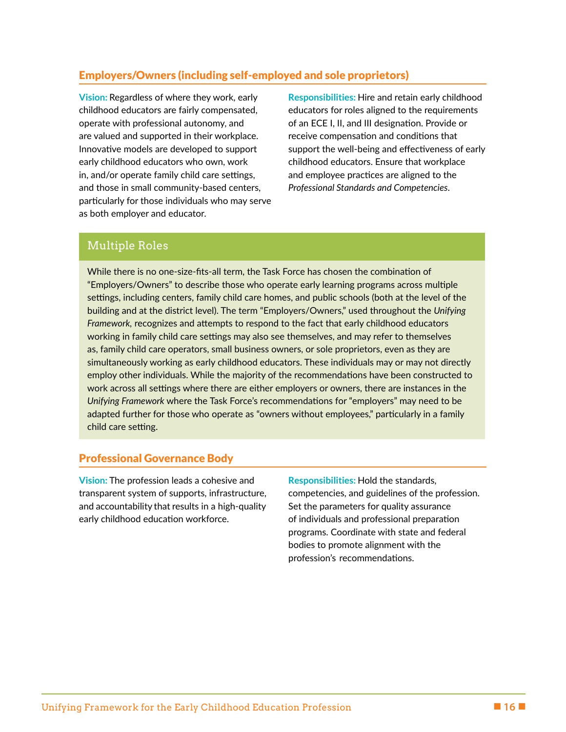#### Employers/Owners (including self-employed and sole proprietors)

**Vision:** Regardless of where they work, early childhood educators are fairly compensated, operate with professional autonomy, and are valued and supported in their workplace. Innovative models are developed to support early childhood educators who own, work in, and/or operate family child care settings, and those in small community-based centers, particularly for those individuals who may serve as both employer and educator.

**Responsibilities:** Hire and retain early childhood educators for roles aligned to the requirements of an ECE I, II, and III designation. Provide or receive compensation and conditions that support the well-being and effectiveness of early childhood educators. Ensure that workplace and employee practices are aligned to the *Professional Standards and Competencies*.

#### Multiple Roles

While there is no one-size-fits-all term, the Task Force has chosen the combination of "Employers/Owners" to describe those who operate early learning programs across multiple settings, including centers, family child care homes, and public schools (both at the level of the building and at the district level). The term "Employers/Owners," used throughout the *Unifying Framework,* recognizes and attempts to respond to the fact that early childhood educators working in family child care settings may also see themselves, and may refer to themselves as, family child care operators, small business owners, or sole proprietors, even as they are simultaneously working as early childhood educators. These individuals may or may not directly employ other individuals. While the majority of the recommendations have been constructed to work across all settings where there are either employers or owners, there are instances in the *Unifying Framework* where the Task Force's recommendations for "employers" may need to be adapted further for those who operate as "owners without employees," particularly in a family child care setting. Description one-size-fits-all term, the Task Force has chosen the combination of<br>ners" to describe those who operate early learning programs across mult<br>ng centers, family child care homes, and public schools (both at the movative models are developed to support<br>
support the well-being and effectiveness of early<br>
in a noticy reliabled educations who conv, work.<br>
In a modify entereducation who converse that work before and the surface contro

#### Professional Governance Body

**Vision:** The profession leads a cohesive and transparent system of supports, infrastructure, and accountability that results in a high-quality early childhood education workforce.

**Responsibilities:** Hold the standards, competencies, and guidelines of the profession. Set the parameters for quality assurance of individuals and professional preparation programs. Coordinate with state and federal bodies to promote alignment with the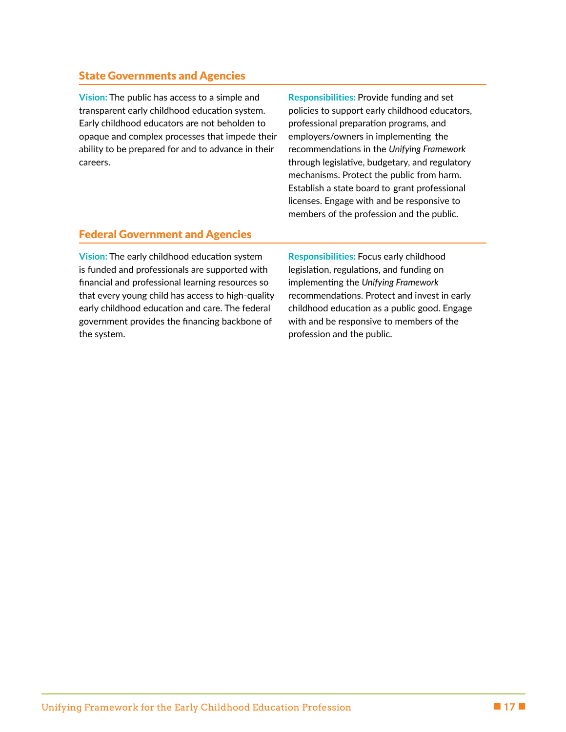#### State Governments and Agencies

**Vision:** The public has access to a simple and transparent early childhood education system. Early childhood educators are not beholden to opaque and complex processes that impede their ability to be prepared for and to advance in their careers.

**Responsibilities:** Provide funding and set policies to support early childhood educators, professional preparation programs, and employers/owners in implementing the recommendations in the *Unifying Framework* through legislative, budgetary, and regulatory mechanisms. Protect the public from harm. Establish a state board to grant professional licenses. Engage with and be responsive to members of the profession and the public.

#### Federal Government and Agencies

**Vision:** The early childhood education system is funded and professionals are supported with financial and professional learning resources so that every young child has access to high-quality early childhood education and care. The federal government provides the financing backbone of the system. profession and the property of the property of the public. The property of the public stress the public from harm,<br>the public stress in the public stress of the public from harm.<br>
Enclobelistic and the public. The carry pr

**Responsibilities:** Focus early childhood legislation, regulations, and funding on implementing the *Unifying Framework* recommendations. Protect and invest in early childhood education as a public good. Engage with and be responsive to members of the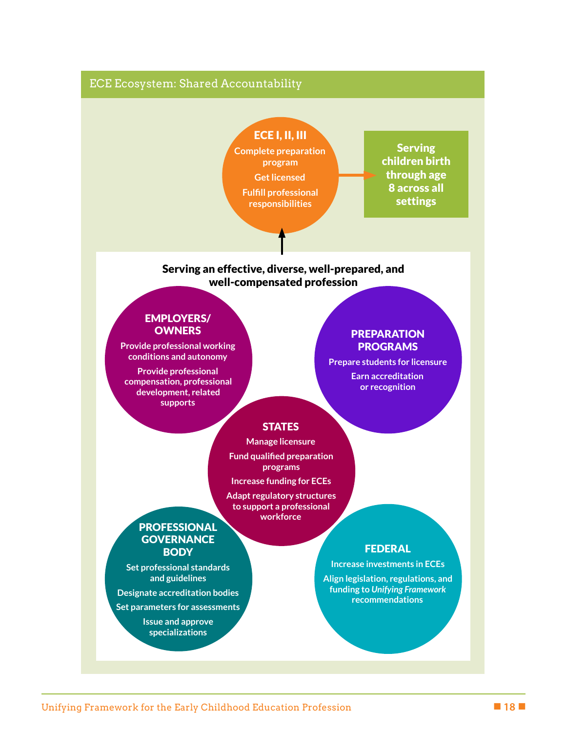

ECE I, II, III **Complete preparation program Get licensed Fulfill professional responsibilities** Complete pregnantion<br>
Fulfill certilensed<br>
Fulfill certicularistics<br>
Fulfill contents and<br>
Fulfill compensions and the responsibilities<br>
Serving an effective, diverse, well-prepared, and<br> **EMBLOVERS**<br>
Provide protessional

Serving children birth through age 8 across all settings

#### Serving an effective, diverse, well-prepared, and well-compensated profession

#### EMPLOYERS/ **OWNERS**

**Provide professional working conditions and autonomy**

**Provide professional compensation, professional development, related** 

#### **PREPARATION** PROGRAMS

**Prepare students for licensure**

**Earn accreditation or recognition**

#### **STATES**

**Manage licensure Fund qualified preparation programs**

**Increase funding for ECEs**

**Adapt regulatory structures to support a professional workforce**

#### PROFESSIONAL **GOVERNANCE BODY**

**Set professional standards and guidelines**

**Designate accreditation bodies**

**Set parameters for assessments**

**Issue and approve specializations**

#### **FEDERAL**

**Increase investments in ECEs**

**Align legislation, regulations, and funding to** *Unifying Framework*  **recommendations**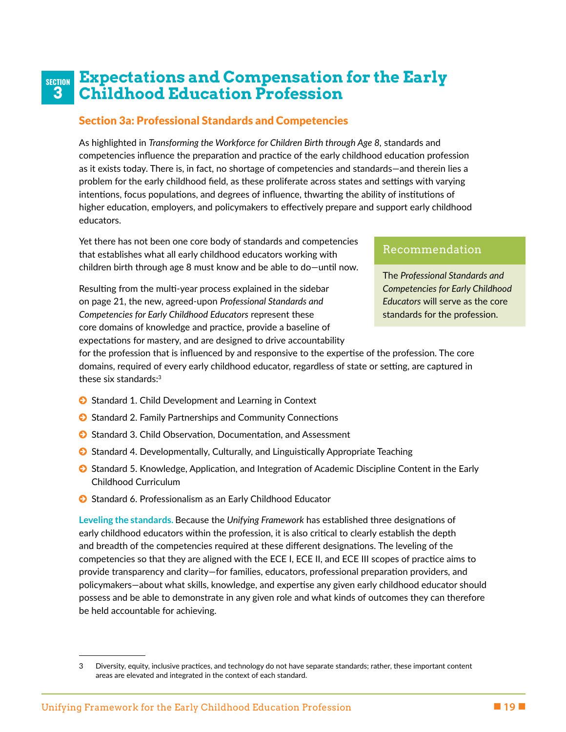#### <span id="page-22-0"></span>**SECTION 3 Expectations and Compensation for the Early Childhood Education Profession**

#### Section 3a: Professional Standards and Competencies

As highlighted in *Transforming the Workforce for Children Birth through Age 8,* standards and competencies influence the preparation and practice of the early childhood education profession as it exists today. There is, in fact, no shortage of competencies and standards—and therein lies a problem for the early childhood field, as these proliferate across states and settings with varying intentions, focus populations, and degrees of influence, thwarting the ability of institutions of higher education, employers, and policymakers to effectively prepare and support early childhood educators. As highlighted in Transforming the Workfore for Children Birth through Age 8, standards and<br>competencies influence the preparation and practice of the early childhood education profession<br>as it is wists today. Then is, in

Yet there has not been one core body of standards and competencies that establishes what all early childhood educators working with children birth through age 8 must know and be able to do—until now.

Resulting from the multi-year process explained in the sidebar on page 21, the new, agreed-upon *Professional Standards and Competencies for Early Childhood Educators* represent these core domains of knowledge and practice, provide a baseline of expectations for mastery, and are designed to drive accountability

#### Recommendation

The *Professional Standards and Competencies for Early Childhood Educators* will serve as the core standards for the profession.

for the profession that is influenced by and responsive to the expertise of the profession. The core domains, required of every early childhood educator, regardless of state or setting, are captured in these six standards:<sup>3</sup>

- **◯** Standard 1. Child Development and Learning in Context
- **◯** Standard 2. Family Partnerships and Community Connections
- © Standard 3. Child Observation, Documentation, and Assessment
- © Standard 4. Developmentally, Culturally, and Linguistically Appropriate Teaching
- © Standard 5. Knowledge, Application, and Integration of Academic Discipline Content in the Early Childhood Curriculum
- © Standard 6. Professionalism as an Early Childhood Educator

**Leveling the standards.** Because the *Unifying Framework* has established three designations of early childhood educators within the profession, it is also critical to clearly establish the depth and breadth of the competencies required at these different designations. The leveling of the competencies so that they are aligned with the ECE I, ECE II, and ECE III scopes of practice aims to provide transparency and clarity—for families, educators, professional preparation providers, and policymakers—about what skills, knowledge, and expertise any given early childhood educator should possess and be able to demonstrate in any given role and what kinds of outcomes they can therefore be held accountable for achieving.



<sup>3</sup> Diversity, equity, inclusive practices, and technology do not have separate standards; rather, these important content areas are elevated and integrated in the context of each standard.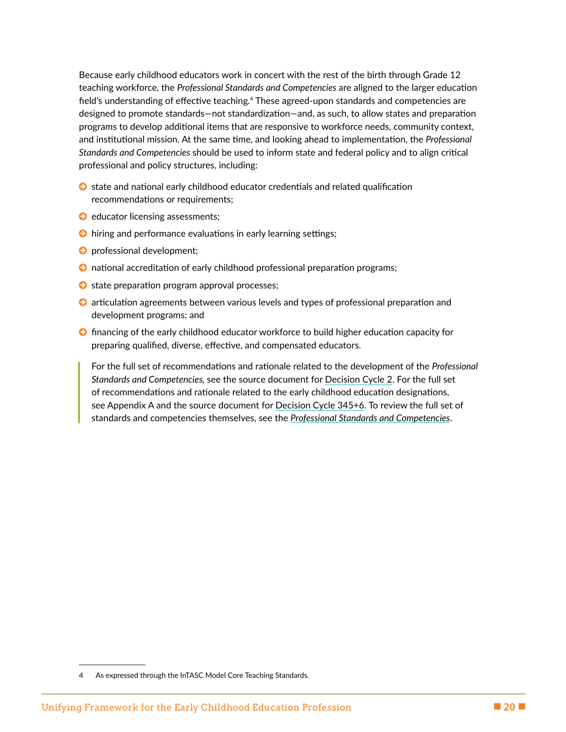Because early childhood educators work in concert with the rest of the birth through Grade 12 teaching workforce, the *Professional Standards and Competencies* are aligned to the larger education field's understanding of effective teaching.<sup>4</sup> These agreed-upon standards and competencies are designed to promote standards—not standardization—and, as such, to allow states and preparation programs to develop additional items that are responsive to workforce needs, community context, and institutional mission. At the same time, and looking ahead to implementation, the *Professional Standards and Competencies* should be used to inform state and federal policy and to align critical professional and policy structures, including:

- © state and national early childhood educator credentials and related qualification recommendations or requirements;
- © educator licensing assessments;
- © hiring and performance evaluations in early learning settings;
- © professional development;
- © national accreditation of early childhood professional preparation programs;
- **◯** state preparation program approval processes;
- © articulation agreements between various levels and types of professional preparation and development programs; and
- © financing of the early childhood educator workforce to build higher education capacity for preparing qualified, diverse, effective, and compensated educators.

For the full set of recommendations and rationale related to the development of the *Professional Standards and Competencies,* see the source document for Decision Cycle 2. For the full set of recommendations and rationale related to the early childhood education designations, see Appendix A and the source document for Decision Cycle 345+6. To review the full set of standards and competencies themselves, see the *Professional Standards and Competencies*. and interactional mission was sainted the saint done and other interaction the Proposition<br>
and Comprehensies should be used to inform mate and deteral policy and to align critical<br>
processional and policy structures; incl

<sup>4</sup> As expressed through the InTASC Model Core Teaching Standards.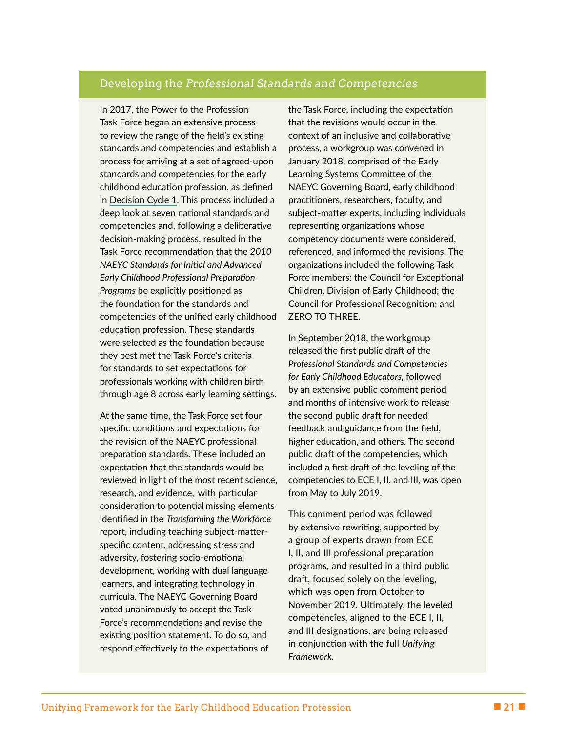#### Developing the Professional Standards and Competencies

In 2017, the Power to the Profession Task Force began an extensive process to review the range of the field's existing standards and competencies and establish a process for arriving at a set of agreed-upon standards and competencies for the early childhood education profession, as defined in Decision Cycle 1. This process included a deep look at seven national standards and competencies and, following a deliberative decision-making process, resulted in the Task Force recommendation that the *2010 NAEYC Standards for Initial and Advanced Early Childhood Professional Preparation Programs* be explicitly positioned as the foundation for the standards and competencies of the unified early childhood education profession. These standards were selected as the foundation because they best met the Task Force's criteria for standards to set expectations for professionals working with children birth through age 8 across early learning settings. standards and competenties and establishing process are wedgenup was converted in the standards and competencies for the early<br>
standards and competencies for the early<br>
standards and competencies for the early<br>
teaming Sy

At the same time, the Task Force set four specific conditions and expectations for the revision of the NAEYC professional preparation standards. These included an expectation that the standards would be reviewed in light of the most recent science, research, and evidence, with particular consideration to potential missing elements identified in the *Transforming the Workforce*  report, including teaching subject-matterspecific content, addressing stress and adversity, fostering socio-emotional development, working with dual language learners, and integrating technology in curricula. The NAEYC Governing Board voted unanimously to accept the Task Force's recommendations and revise the existing position statement. To do so, and respond effectively to the expectations of

the Task Force, including the expectation that the revisions would occur in the context of an inclusive and collaborative process, a workgroup was convened in January 2018, comprised of the Early Learning Systems Committee of the NAEYC Governing Board, early childhood practitioners, researchers, faculty, and subject-matter experts, including individuals representing organizations whose competency documents were considered, referenced, and informed the revisions. The organizations included the following Task Force members: the Council for Exceptional Children, Division of Early Childhood; the Council for Professional Recognition; and ZERO TO THREE.

In September 2018, the workgroup released the first public draft of the *Professional Standards and Competencies for Early Childhood Educators,* followed by an extensive public comment period and months of intensive work to release the second public draft for needed feedback and guidance from the field, higher education, and others. The second public draft of the competencies, which included a first draft of the leveling of the competencies to ECE I, II, and III, was open from May to July 2019.

This comment period was followed by extensive rewriting, supported by a group of experts drawn from ECE I, II, and III professional preparation programs, and resulted in a third public draft, focused solely on the leveling, which was open from October to November 2019. Ultimately, the leveled competencies, aligned to the ECE I, II, and III designations, are being released in conjunction with the full *Unifying Framework.*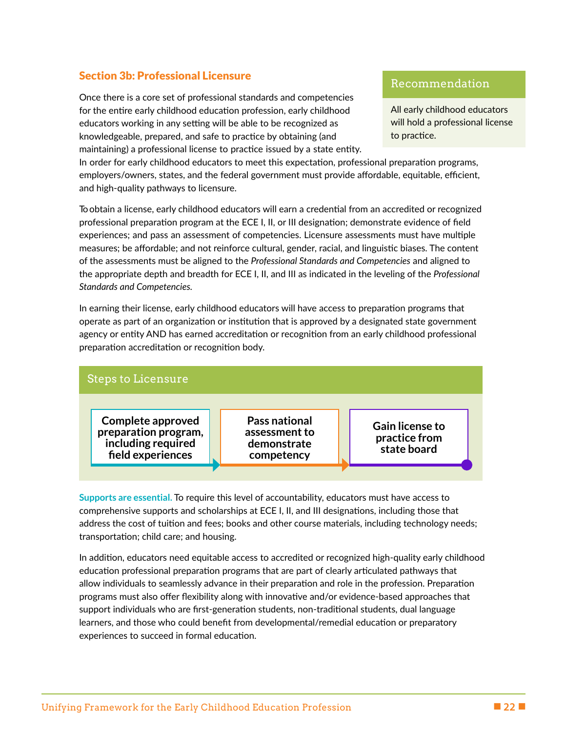#### <span id="page-25-0"></span>Section 3b: Professional Licensure

Once there is a core set of professional standards and competencies for the entire early childhood education profession, early childhood educators working in any setting will be able to be recognized as knowledgeable, prepared, and safe to practice by obtaining (and maintaining) a professional license to practice issued by a state entity.

In order for early childhood educators to meet this expectation, professional preparation programs, employers/owners, states, and the federal government must provide affordable, equitable, efficient, and high-quality pathways to licensure.

To obtain a license, early childhood educators will earn a credential from an accredited or recognized professional preparation program at the ECE I, II, or III designation; demonstrate evidence of field experiences; and pass an assessment of competencies. Licensure assessments must have multiple measures; be affordable; and not reinforce cultural, gender, racial, and linguistic biases. The content of the assessments must be aligned to the *Professional Standards and Competencies* and aligned to the appropriate depth and breadth for ECE I, II, and III as indicated in the leveling of the *Professional Standards and Competencies.*

In earning their license, early childhood educators will have access to preparation programs that operate as part of an organization or institution that is approved by a designated state government agency or entity AND has earned accreditation or recognition from an early childhood professional preparation accreditation or recognition body.



**Supports are essential.** To require this level of accountability, educators must have access to comprehensive supports and scholarships at ECE I, II, and III designations, including those that address the cost of tuition and fees; books and other course materials, including technology needs; transportation; child care; and housing.

In addition, educators need equitable access to accredited or recognized high-quality early childhood education professional preparation programs that are part of clearly articulated pathways that allow individuals to seamlessly advance in their preparation and role in the profession. Preparation programs must also offer flexibility along with innovative and/or evidence-based approaches that support individuals who are first-generation students, non-traditional students, dual language learners, and those who could benefit from developmental/remedial education or preparatory experiences to succeed in formal education.

#### Recommendation

All early childhood educators will hold a professional license to practice.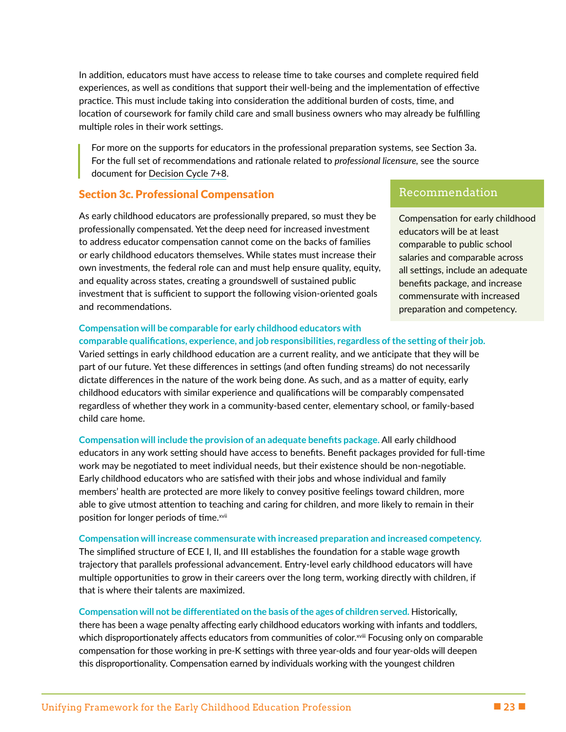<span id="page-26-0"></span>In addition, educators must have access to release time to take courses and complete required field experiences, as well as conditions that support their well-being and the implementation of effective practice. This must include taking into consideration the additional burden of costs, time, and location of coursework for family child care and small business owners who may already be fulfilling multiple roles in their work settings.

For more on the supports for educators in the professional preparation systems, see Section 3a. For the full set of recommendations and rationale related to *professional licensure,* see the source document for Decision Cycle 7+8.

#### Section 3c. Professional Compensation

As early childhood educators are professionally prepared, so must they be professionally compensated. Yet the deep need for increased investment to address educator compensation cannot come on the backs of families or early childhood educators themselves. While states must increase their own investments, the federal role can and must help ensure quality, equity, and equality across states, creating a groundswell of sustained public investment that is sufficient to support the following vision-oriented goals and recommendations.

Compensation for early childhood educators will be at least comparable to public school salaries and comparable across all settings, include an adequate benefits package, and increase commensurate with increased preparation and competency.

#### **Compensation will be comparable for early childhood educators with comparable qualifications, experience, and job responsibilities, regardless of the setting of their job.**

Varied settings in early childhood education are a current reality, and we anticipate that they will be part of our future. Yet these differences in settings (and often funding streams) do not necessarily dictate differences in the nature of the work being done. As such, and as a matter of equity, early childhood educators with similar experience and qualifications will be comparably compensated regardless of whether they work in a community-based center, elementary school, or family-based child care home.

**Compensation will include the provision of an adequate benefits package.** All early childhood educators in any work setting should have access to benefits. Benefit packages provided for full-time work may be negotiated to meet individual needs, but their existence should be non-negotiable. Early childhood educators who are satisfied with their jobs and whose individual and family members' health are protected are more likely to convey positive feelings toward children, more able to give utmost attention to teaching and caring for children, and more likely to remain in their position for longer periods of time.<sup>xvii</sup> For more on the supports for education is the professional preparation systems, see Section 3a.<br>For the field set of recommendations and rationale related to professional licensure, see the source<br>document for <u>Decision Cy</u>

**Compensation will increase commensurate with increased preparation and increased competency.**  The simplified structure of ECE I, II, and III establishes the foundation for a stable wage growth trajectory that parallels professional advancement. Entry-level early childhood educators will have multiple opportunities to grow in their careers over the long term, working directly with children, if that is where their talents are maximized.

**Compensation will not be differentiated on the basis of the ages of children served.** Historically, there has been a wage penalty affecting early childhood educators working with infants and toddlers, which disproportionately affects educators from communities of color.<sup>xviii</sup> Focusing only on comparable compensation for those working in pre-K settings with three year-olds and four year-olds will deepen this disproportionality. Compensation earned by individuals working with the youngest children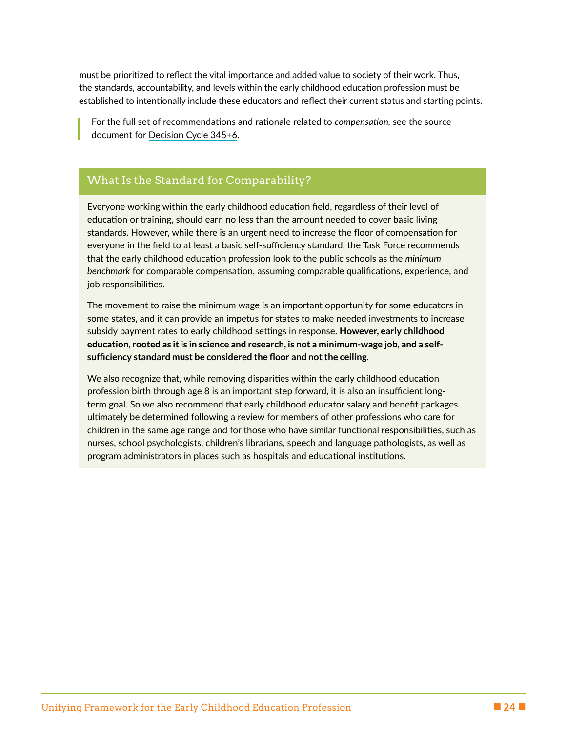must be prioritized to reflect the vital importance and added value to society of their work. Thus, the standards, accountability, and levels within the early childhood education profession must be established to intentionally include these educators and reflect their current status and starting points.

For the full set of recommendations and rationale related to *compensation,* see the source document for [Decision Cycle 345+6.](https://www.naeyc.org/sites/default/files/globally-shared/downloads/PDFs/our-work/initiatives/p2p_decision_cycles_3456.final_consensus.pdf)

#### What Is the Standard for Comparability?

Everyone working within the early childhood education field, regardless of their level of education or training, should earn no less than the amount needed to cover basic living standards. However, while there is an urgent need to increase the floor of compensation for everyone in the field to at least a basic self-sufficiency standard, the Task Force recommends that the early childhood education profession look to the public schools as the *minimum benchmark* for comparable compensation, assuming comparable qualifications, experience, and job responsibilities.

The movement to raise the minimum wage is an important opportunity for some educators in some states, and it can provide an impetus for states to make needed investments to increase subsidy payment rates to early childhood settings in response. **However, early childhood education, rooted as it is in science and research, is not a minimum-wage job, and a selfsufficiency standard must be considered the floor and not the ceiling.**

What Is the Standard for Comparability?<br>
Cerryone working within the early childhood education field, regardless of their level of<br>
education or training, chould earn on less than the amount needed to cover basis long<br>
sta We also recognize that, while removing disparities within the early childhood education profession birth through age 8 is an important step forward, it is also an insufficient longterm goal. So we also recommend that early childhood educator salary and benefit packages ultimately be determined following a review for members of other professions who care for children in the same age range and for those who have similar functional responsibilities, such as nurses, school psychologists, children's librarians, speech and language pathologists, as well as program administrators in places such as hospitals and educational institutions.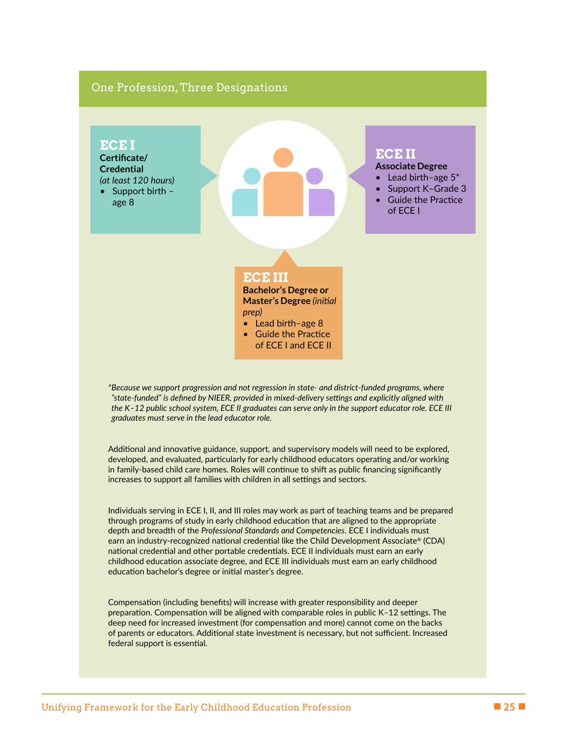

*\*Because we support progression and not regression in state- and district-funded programs, where "state-funded" is defined by NIEER, provided in mixed-delivery settings and explicitly aligned with the K–12 public school system, ECE II graduates can serve only in the support educator role. ECE III* 

Additional and innovative guidance, support, and supervisory models will need to be explored, developed, and evaluated, particularly for early childhood educators operating and/or working in family-based child care homes. Roles will continue to shift as public financing significantly increases to support all families with children in all settings and sectors.

Individuals serving in ECE I, II, and III roles may work as part of teaching teams and be prepared through programs of study in early childhood education that are aligned to the appropriate depth and breadth of the *Professional Standards and Competencies*. ECE I individuals must earn an industry-recognized national credential like the Child Development Associate® (CDA) national credential and other portable credentials. ECE II individuals must earn an early childhood education associate degree, and ECE III individuals must earn an early childhood education bachelor's degree or initial master's degree.

Compensation (including benefits) will increase with greater responsibility and deeper preparation. Compensation will be aligned with comparable roles in public K–12 settings. The deep need for increased investment (for compensation and more) cannot come on the backs of parents or educators. Additional state investment is necessary, but not sufficient. Increased federal support is essential.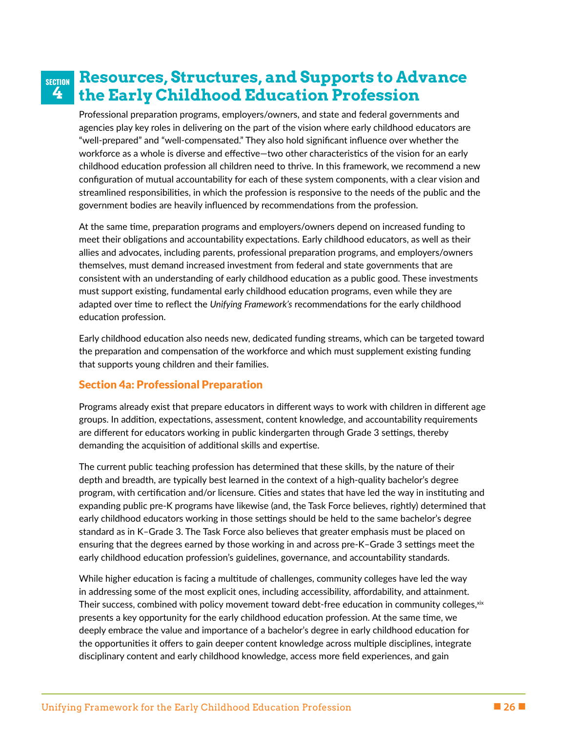#### <span id="page-29-0"></span>**SECTION 4 Resources, Structures, and Supports to Advance the Early Childhood Education Profession**

Professional preparation programs, employers/owners, and state and federal governments and agencies play key roles in delivering on the part of the vision where early childhood educators are "well-prepared" and "well-compensated." They also hold significant influence over whether the workforce as a whole is diverse and effective—two other characteristics of the vision for an early childhood education profession all children need to thrive. In this framework, we recommend a new configuration of mutual accountability for each of these system components, with a clear vision and streamlined responsibilities, in which the profession is responsive to the needs of the public and the government bodies are heavily influenced by recommendations from the profession.

At the same time, preparation programs and employers/owners depend on increased funding to meet their obligations and accountability expectations. Early childhood educators, as well as their allies and advocates, including parents, professional preparation programs, and employers/owners themselves, must demand increased investment from federal and state governments that are consistent with an understanding of early childhood education as a public good. These investments must support existing, fundamental early childhood education programs, even while they are adapted over time to reflect the *Unifying Framework's* recommendations for the early childhood education profession.

Early childhood education also needs new, dedicated funding streams, which can be targeted toward the preparation and compensation of the workforce and which must supplement existing funding that supports young children and their families.

#### Section 4a: Professional Preparation

Programs already exist that prepare educators in different ways to work with children in different age groups. In addition, expectations, assessment, content knowledge, and accountability requirements are different for educators working in public kindergarten through Grade 3 settings, thereby demanding the acquisition of additional skills and expertise.

The current public teaching profession has determined that these skills, by the nature of their depth and breadth, are typically best learned in the context of a high-quality bachelor's degree program, with certification and/or licensure. Cities and states that have led the way in instituting and expanding public pre-K programs have likewise (and, the Task Force believes, rightly) determined that early childhood educators working in those settings should be held to the same bachelor's degree standard as in K–Grade 3. The Task Force also believes that greater emphasis must be placed on ensuring that the degrees earned by those working in and across pre-K–Grade 3 settings meet the early childhood education profession's guidelines, governance, and accountability standards. Weil preparation and Weil complements on. They also noto a spannent innuished cover when the complement of the complement in the complement weight and a statistical of the statistic configuration of mitual accountability f

While higher education is facing a multitude of challenges, community colleges have led the way in addressing some of the most explicit ones, including accessibility, affordability, and attainment. Their success, combined with policy movement toward debt-free education in community colleges, xix presents a key opportunity for the early childhood education profession. At the same time, we deeply embrace the value and importance of a bachelor's degree in early childhood education for the opportunities it offers to gain deeper content knowledge across multiple disciplines, integrate disciplinary content and early childhood knowledge, access more field experiences, and gain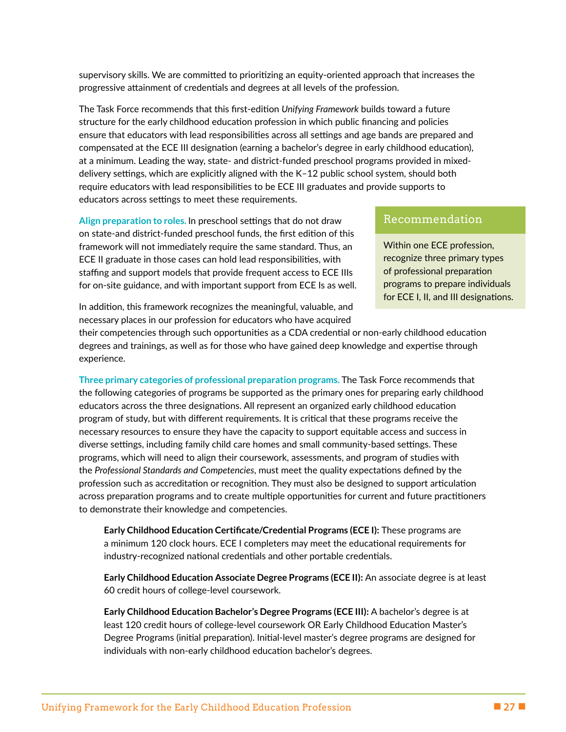supervisory skills. We are committed to prioritizing an equity-oriented approach that increases the progressive attainment of credentials and degrees at all levels of the profession.

The Task Force recommends that this first-edition *Unifying Framework* builds toward a future structure for the early childhood education profession in which public financing and policies ensure that educators with lead responsibilities across all settings and age bands are prepared and compensated at the ECE III designation (earning a bachelor's degree in early childhood education), at a minimum. Leading the way, state- and district-funded preschool programs provided in mixeddelivery settings, which are explicitly aligned with the K–12 public school system, should both require educators with lead responsibilities to be ECE III graduates and provide supports to educators across settings to meet these requirements.

**Align preparation to roles.** In preschool settings that do not draw on state-and district-funded preschool funds, the first edition of this framework will not immediately require the same standard. Thus, an ECE II graduate in those cases can hold lead responsibilities, with staffing and support models that provide frequent access to ECE IIIs for on-site guidance, and with important support from ECE Is as well.

Within one ECE profession, recognize three primary types of professional preparation programs to prepare individuals for ECE I, II, and III designations.

In addition, this framework recognizes the meaningful, valuable, and necessary places in our profession for educators who have acquired

their competencies through such opportunities as a CDA credential or non-early childhood education degrees and trainings, as well as for those who have gained deep knowledge and expertise through experience.

**Three primary categories of professional preparation programs.** The Task Force recommends that the following categories of programs be supported as the primary ones for preparing early childhood educators across the three designations. All represent an organized early childhood education program of study, but with different requirements. It is critical that these programs receive the necessary resources to ensure they have the capacity to support equitable access and success in diverse settings, including family child care homes and small community-based settings. These programs, which will need to align their coursework, assessments, and program of studies with the *Professional Standards and Competencies*, must meet the quality expectations defined by the profession such as accreditation or recognition. They must also be designed to support articulation across preparation programs and to create multiple opportunities for current and future practitioners to demonstrate their knowledge and competencies. compensated at the ECE II distigration (essential at the ECE II distincts changes have be compensated at the compensation), the accelistic of the second by the model at the model at the second by the result of the second s

**Early Childhood Education Certificate/Credential Programs (ECE I):** These programs are a minimum 120 clock hours. ECE I completers may meet the educational requirements for industry-recognized national credentials and other portable credentials.

**Early Childhood Education Associate Degree Programs (ECE II):** An associate degree is at least 60 credit hours of college-level coursework.

**Early Childhood Education Bachelor's Degree Programs (ECE III):** A bachelor's degree is at least 120 credit hours of college-level coursework OR Early Childhood Education Master's Degree Programs (initial preparation). Initial-level master's degree programs are designed for individuals with non-early childhood education bachelor's degrees.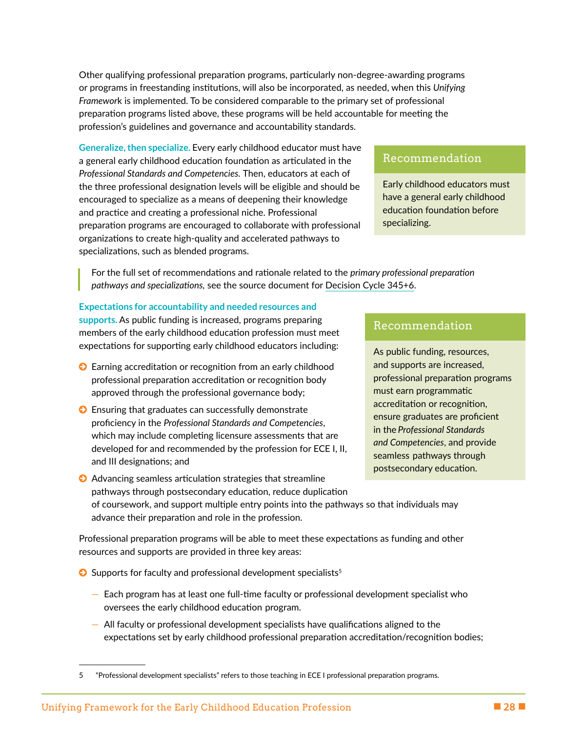Other qualifying professional preparation programs, particularly non-degree-awarding programs or programs in freestanding institutions, will also be incorporated, as needed, when this *Unifying Framewor*k is implemented. To be considered comparable to the primary set of professional preparation programs listed above, these programs will be held accountable for meeting the profession's guidelines and governance and accountability standards.

**Generalize, then specialize.** Every early childhood educator must have a general early childhood education foundation as articulated in the *Professional Standards and Competencies.* Then, educators at each of the three professional designation levels will be eligible and should be encouraged to specialize as a means of deepening their knowledge and practice and creating a professional niche. Professional preparation programs are encouraged to collaborate with professional organizations to create high-quality and accelerated pathways to specializations, such as blended programs. Geomatics, then psecialize there pservally childrood education must have a spental early childrood education foundation as aritculated in the Prefessional Standards and Competencies. Then, educators at each of the grapy ch

#### Recommendation

Early childhood educators must have a general early childhood education foundation before specializing.

For the full set of recommendations and rationale related to the *primary professional preparation pathways and specializations,* see the source document for Decision Cycle 345+6.

#### **Expectations for accountability and needed resources and**

**supports.** As public funding is increased, programs preparing members of the early childhood education profession must meet expectations for supporting early childhood educators including:

- © Earning accreditation or recognition from an early childhood professional preparation accreditation or recognition body approved through the professional governance body;
- © Ensuring that graduates can successfully demonstrate proficiency in the *Professional Standards and Competencies*, which may include completing licensure assessments that are developed for and recommended by the profession for ECE I, II, and III designations; and

#### Recommendation

As public funding, resources, and supports are increased, professional preparation programs must earn programmatic accreditation or recognition, ensure graduates are proficient in the *Professional Standards and Competencies*, and provide seamless pathways through postsecondary education.

© Advancing seamless articulation strategies that streamline pathways through postsecondary education, reduce duplication of coursework, and support multiple entry points into the pathways so that individuals may advance their preparation and role in the profession.

Professional preparation programs will be able to meet these expectations as funding and other resources and supports are provided in three key areas:

 $\bullet$  Supports for faculty and professional development specialists<sup>5</sup>

- Each program has at least one full-time faculty or professional development specialist who oversees the early childhood education program.
- All faculty or professional development specialists have qualifications aligned to the expectations set by early childhood professional preparation accreditation/recognition bodies;

<sup>5</sup> "Professional development specialists" refers to those teaching in ECE I professional preparation programs.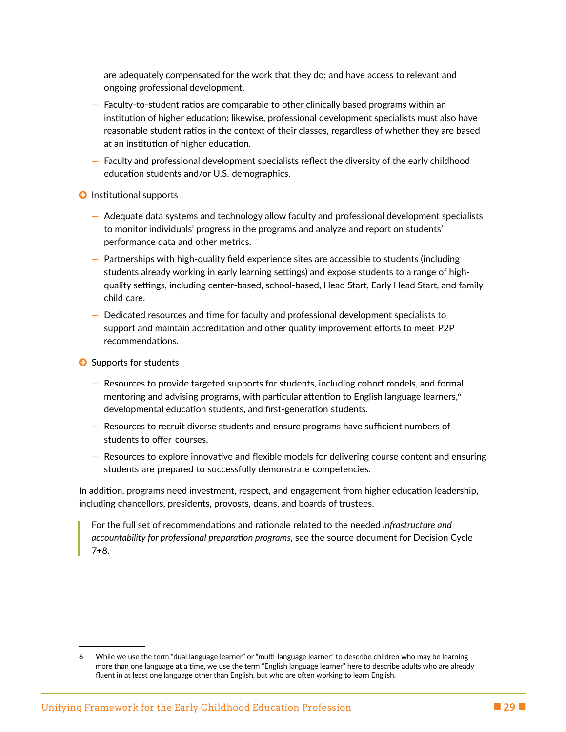are adequately compensated for the work that they do; and have access to relevant and ongoing professional development.

- Faculty-to-student ratios are comparable to other clinically based programs within an institution of higher education; likewise, professional development specialists must also have reasonable student ratios in the context of their classes, regardless of whether they are based at an institution of higher education.
- Faculty and professional development specialists reflect the diversity of the early childhood education students and/or U.S. demographics.

© Institutional supports

- Adequate data systems and technology allow faculty and professional development specialists to monitor individuals' progress in the programs and analyze and report on students' performance data and other metrics.
- Partnerships with high-quality field experience sites are accessible to students (including students already working in early learning settings) and expose students to a range of highquality settings, including center-based, school-based, Head Start, Early Head Start, and family child care. at an institution of higher elatostico.<br>
The actual of more field and online the elatorical development specialists reflect the diversity of the early childhood<br>
education students and/or U.S. demographics.<br> **O** Institutio
	- Dedicated resources and time for faculty and professional development specialists to support and maintain accreditation and other quality improvement efforts to meet P2P recommendations.
	- © Supports for students
		- Resources to provide targeted supports for students, including cohort models, and formal mentoring and advising programs, with particular attention to English language learners,<sup>6</sup> developmental education students, and first-generation students.
		- Resources to recruit diverse students and ensure programs have sufficient numbers of students to offer courses.
		- Resources to explore innovative and flexible models for delivering course content and ensuring students are prepared to successfully demonstrate competencies.

In addition, programs need investment, respect, and engagement from higher education leadership, including chancellors, presidents, provosts, deans, and boards of trustees.

For the full set of recommendations and rationale related to the needed *infrastructure and accountability for professional preparation programs,* see the source document for Decision Cycle 7+8.

While we use the term "dual language learner" or "multi-language learner" to describe children who may be learning more than one language at a time, we use the term "English language learner" here to describe adults who are already fluent in at least one language other than English, but who are often working to learn English.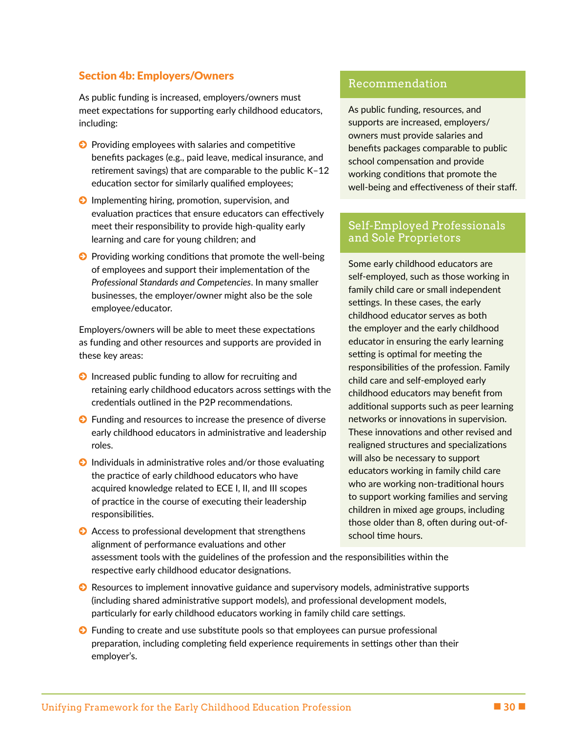#### <span id="page-33-0"></span>Section 4b: Employers/Owners

As public funding is increased, employers/owners must meet expectations for supporting early childhood educators, including:

- **◯** Providing employees with salaries and competitive benefits packages (e.g., paid leave, medical insurance, and retirement savings) that are comparable to the public K–12 education sector for similarly qualified employees;
- © Implementing hiring, promotion, supervision, and evaluation practices that ensure educators can effectively meet their responsibility to provide high-quality early learning and care for young children; and
- © Providing working conditions that promote the well-being of employees and support their implementation of the *Professional Standards and Competencies*. In many smaller businesses, the employer/owner might also be the sole employee/educator.

Employers/owners will be able to meet these expectations as funding and other resources and supports are provided in these key areas:

- **◯** Increased public funding to allow for recruiting and retaining early childhood educators across settings with the credentials outlined in the P2P recommendations.
- © Funding and resources to increase the presence of diverse early childhood educators in administrative and leadership roles.
- © Individuals in administrative roles and/or those evaluating the practice of early childhood educators who have acquired knowledge related to ECE I, II, and III scopes of practice in the course of executing their leadership responsibilities.
- **◯** Access to professional development that strengthens alignment of performance evaluations and other

#### Recommendation

As public funding, resources, and supports are increased, employers/ owners must provide salaries and benefits packages comparable to public school compensation and provide working conditions that promote the well-being and effectiveness of their staff.

#### Self-Employed Professionals and Sole Proprietors

Some early childhood educators are self-employed, such as those working in family child care or small independent settings. In these cases, the early childhood educator serves as both the employer and the early childhood educator in ensuring the early learning setting is optimal for meeting the responsibilities of the profession. Family child care and self-employed early childhood educators may benefit from additional supports such as peer learning networks or innovations in supervision. These innovations and other revised and realigned structures and specializations will also be necessary to support educators working in family child care who are working non-traditional hours to support working families and serving children in mixed age groups, including those older than 8, often during out-ofschool time hours. **D** Providing employees with statistic and computible consideration and the providing employes consider the componential statistic entergeneous consideration statistic entergeneous entergeneous consideration statistic ente

assessment tools with the guidelines of the profession and the responsibilities within the respective early childhood educator designations.

- © Resources to implement innovative guidance and supervisory models, administrative supports (including shared administrative support models), and professional development models, particularly for early childhood educators working in family child care settings.
- © Funding to create and use substitute pools so that employees can pursue professional preparation, including completing field experience requirements in settings other than their employer's.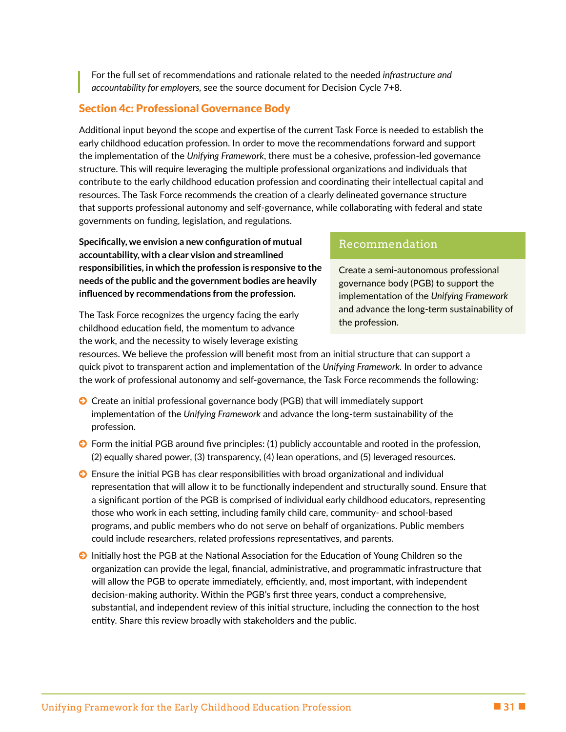<span id="page-34-0"></span>For the full set of recommendations and rationale related to the needed *infrastructure and accountability for employers,* see the source document for [Decision Cycle 7+8.](https://www.naeyc.org/sites/default/files/globally-shared/downloads/PDFs/our-work/initiatives/power_to_the_profession_7-8_final_for_web.pdf)

#### Section 4c: Professional Governance Body

Additional input beyond the scope and expertise of the current Task Force is needed to establish the early childhood education profession. In order to move the recommendations forward and support the implementation of the *Unifying Framework*, there must be a cohesive, profession-led governance structure. This will require leveraging the multiple professional organizations and individuals that contribute to the early childhood education profession and coordinating their intellectual capital and resources. The Task Force recommends the creation of a clearly delineated governance structure that supports professional autonomy and self-governance, while collaborating with federal and state governments on funding, legislation, and regulations. early childhood education profession. In order to move the recommendations forward and support<br>contribute to the original term (in the profession of the Uniter Chilical structure. This will require leveraging the multiple

**Specifically, we envision a new configuration of mutual accountability, with a clear vision and streamlined responsibilities, in which the profession is responsive to the needs of the public and the government bodies are heavily influenced by recommendations from the profession.**

The Task Force recognizes the urgency facing the early childhood education field, the momentum to advance the work, and the necessity to wisely leverage existing

#### Recommendation

Create a semi-autonomous professional governance body (PGB) to support the implementation of the *Unifying Framework* and advance the long-term sustainability of

resources. We believe the profession will benefit most from an initial structure that can support a quick pivot to transparent action and implementation of the *Unifying Framework.* In order to advance the work of professional autonomy and self-governance, the Task Force recommends the following:

- © Create an initial professional governance body (PGB) that will immediately support implementation of the *Unifying Framework* and advance the long-term sustainability of the profession.
- © Form the initial PGB around five principles: (1) publicly accountable and rooted in the profession, (2) equally shared power, (3) transparency, (4) lean operations, and (5) leveraged resources.
- © Ensure the initial PGB has clear responsibilities with broad organizational and individual representation that will allow it to be functionally independent and structurally sound. Ensure that a significant portion of the PGB is comprised of individual early childhood educators, representing those who work in each setting, including family child care, community- and school-based programs, and public members who do not serve on behalf of organizations. Public members could include researchers, related professions representatives, and parents.
- © Initially host the PGB at the National Association for the Education of Young Children so the organization can provide the legal, financial, administrative, and programmatic infrastructure that will allow the PGB to operate immediately, efficiently, and, most important, with independent decision-making authority. Within the PGB's first three years, conduct a comprehensive, substantial, and independent review of this initial structure, including the connection to the host entity. Share this review broadly with stakeholders and the public.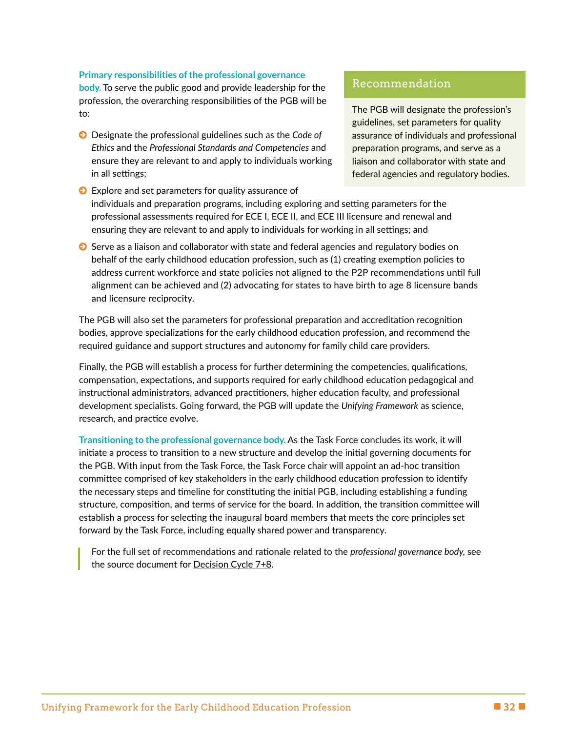#### **Primary responsibilities of the professional governance**

**body.** To serve the public good and provide leadership for the profession, the overarching responsibilities of the PGB will be to:

© Designate the professional guidelines such as the *Code of Ethics* and the *Professional Standards and Competencies* and ensure they are relevant to and apply to individuals working in all settings;

#### Recommendation

The PGB will designate the profession's guidelines, set parameters for quality assurance of individuals and professional preparation programs, and serve as a liaison and collaborator with state and federal agencies and regulatory bodies.

- **◯** Explore and set parameters for quality assurance of individuals and preparation programs, including exploring and setting parameters for the professional assessments required for ECE I, ECE II, and ECE III licensure and renewal and ensuring they are relevant to and apply to individuals for working in all settings; and
- **◯** Serve as a liaison and collaborator with state and federal agencies and regulatory bodies on behalf of the early childhood education profession, such as (1) creating exemption policies to address current workforce and state policies not aligned to the P2P recommendations until full alignment can be achieved and (2) advocating for states to have birth to age 8 licensure bands and licensure reciprocity.

The PGB will also set the parameters for professional preparation and accreditation recognition bodies, approve specializations for the early childhood education profession, and recommend the required guidance and support structures and autonomy for family child care providers.

Finally, the PGB will establish a process for further determining the competencies, qualifications, compensation, expectations, and supports required for early childhood education pedagogical and instructional administrators, advanced practitioners, higher education faculty, and professional development specialists. Going forward, the PGB will update the *Unifying Framework* as science, research, and practice evolve.

**Transitioning to the professional governance body.** As the Task Force concludes its work, it will initiate a process to transition to a new structure and develop the initial governing documents for the PGB. With input from the Task Force, the Task Force chair will appoint an ad-hoc transition committee comprised of key stakeholders in the early childhood education profession to identify the necessary steps and timeline for constituting the initial PGB, including establishing a funding structure, composition, and terms of service for the board. In addition, the transition committee will establish a process for selecting the inaugural board members that meets the core principles set forward by the Task Force, including equally shared power and transparency. Ence and the Professional standards and Competencies and<br>
ensure they are relevant to ond apply to individuals working<br>
insiden and collaborator with state and<br>
in all settings;<br>
Despice and setting are relevant to ond app

For the full set of recommendations and rationale related to the *professional governance body,* see the source document for Decision Cycle 7+8.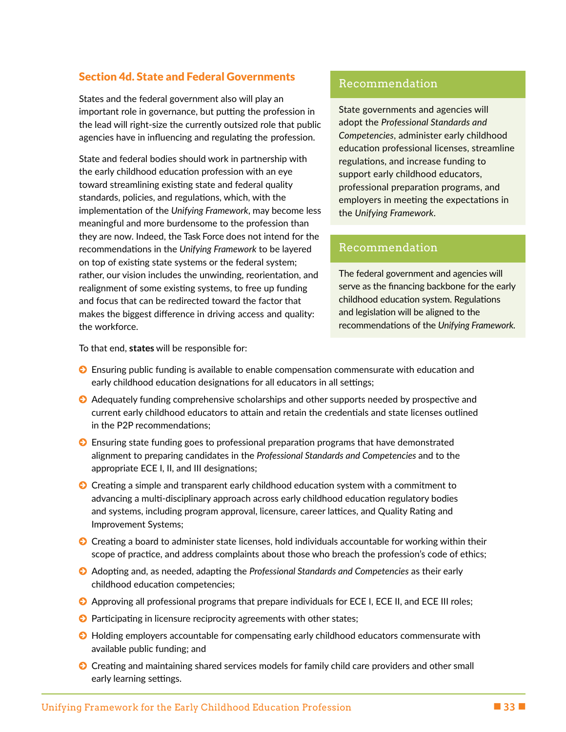#### <span id="page-36-0"></span>Section 4d. State and Federal Governments

States and the federal government also will play an important role in governance, but putting the profession in the lead will right-size the currently outsized role that public agencies have in influencing and regulating the profession.

State and federal bodies should work in partnership with the early childhood education profession with an eye toward streamlining existing state and federal quality standards, policies, and regulations, which, with the implementation of the *Unifying Framework*, may become less meaningful and more burdensome to the profession than they are now. Indeed, the Task Force does not intend for the recommendations in the *Unifying Framework* to be layered on top of existing state systems or the federal system; rather, our vision includes the unwinding, reorientation, and realignment of some existing systems, to free up funding and focus that can be redirected toward the factor that makes the biggest difference in driving access and quality: the workforce. For example the comment of the **Contention** of the **Unifyring Content (**Contention profession (**Contention**) the *Contention* (**Contention**) the *Contention* (*Contention commentation commentation commentation in the mathe* 

#### Recommendation

State governments and agencies will adopt the *Professional Standards and Competencies*, administer early childhood education professional licenses, streamline regulations, and increase funding to support early childhood educators, professional preparation programs, and employers in meeting the expectations in the *Unifying Framework*.

#### Recommendation

The federal government and agencies will serve as the financing backbone for the early childhood education system. Regulations and legislation will be aligned to the

To that end, **states** will be responsible for:

- © Ensuring public funding is available to enable compensation commensurate with education and early childhood education designations for all educators in all settings;
- © Adequately funding comprehensive scholarships and other supports needed by prospective and current early childhood educators to attain and retain the credentials and state licenses outlined in the P2P recommendations;
- © Ensuring state funding goes to professional preparation programs that have demonstrated alignment to preparing candidates in the *Professional Standards and Competencies* and to the appropriate ECE I, II, and III designations;
- © Creating a simple and transparent early childhood education system with a commitment to advancing a multi-disciplinary approach across early childhood education regulatory bodies and systems, including program approval, licensure, career lattices, and Quality Rating and Improvement Systems;
- Creating a board to administer state licenses, hold individuals accountable for working within their scope of practice, and address complaints about those who breach the profession's code of ethics;
- © Adopting and, as needed, adapting the *Professional Standards and Competencies* as their early childhood education competencies;
- © Approving all professional programs that prepare individuals for ECE I, ECE II, and ECE III roles;
- **◯** Participating in licensure reciprocity agreements with other states;
- © Holding employers accountable for compensating early childhood educators commensurate with available public funding; and
- © Creating and maintaining shared services models for family child care providers and other small early learning settings.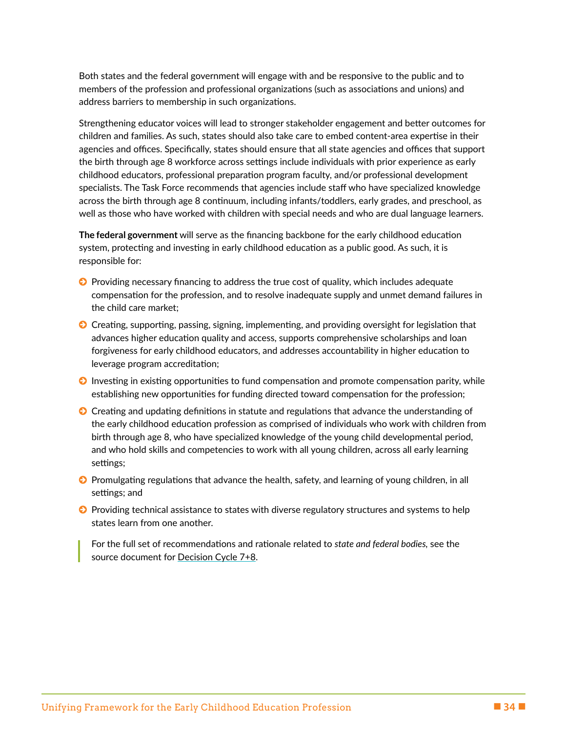Both states and the federal government will engage with and be responsive to the public and to members of the profession and professional organizations (such as associations and unions) and address barriers to membership in such organizations.

Strengthening educator voices will lead to stronger stakeholder engagement and better outcomes for children and families. As such, states should also take care to embed content-area expertise in their agencies and offices. Specifically, states should ensure that all state agencies and offices that support the birth through age 8 workforce across settings include individuals with prior experience as early childhood educators, professional preparation program faculty, and/or professional development specialists. The Task Force recommends that agencies include staff who have specialized knowledge across the birth through age 8 continuum, including infants/toddlers, early grades, and preschool, as well as those who have worked with children with special needs and who are dual language learners. agencies and offices. Specifically, states should ensure that all state agencies and offices that support<br>the benuging as 8 workforce across atelieps include inclividuals with prior constrained includibles.<br>Colliding the d

**The federal government** will serve as the financing backbone for the early childhood education system, protecting and investing in early childhood education as a public good. As such, it is responsible for:

- © Providing necessary financing to address the true cost of quality, which includes adequate compensation for the profession, and to resolve inadequate supply and unmet demand failures in the child care market;
- © Creating, supporting, passing, signing, implementing, and providing oversight for legislation that advances higher education quality and access, supports comprehensive scholarships and loan forgiveness for early childhood educators, and addresses accountability in higher education to leverage program accreditation;
- © Investing in existing opportunities to fund compensation and promote compensation parity, while establishing new opportunities for funding directed toward compensation for the profession;
- Creating and updating definitions in statute and regulations that advance the understanding of the early childhood education profession as comprised of individuals who work with children from birth through age 8, who have specialized knowledge of the young child developmental period, and who hold skills and competencies to work with all young children, across all early learning settings; ment will serve as the financing backbone for the early childhood education<br>g and investing in early childhood education as a public good. As such, it is<br>stary financing to address the true cost of quality, which includes
- © Promulgating regulations that advance the health, safety, and learning of young children, in all settings; and
- © Providing technical assistance to states with diverse regulatory structures and systems to help states learn from one another.

For the full set of recommendations and rationale related to *state and federal bodies,* see the source document for Decision Cycle 7+8.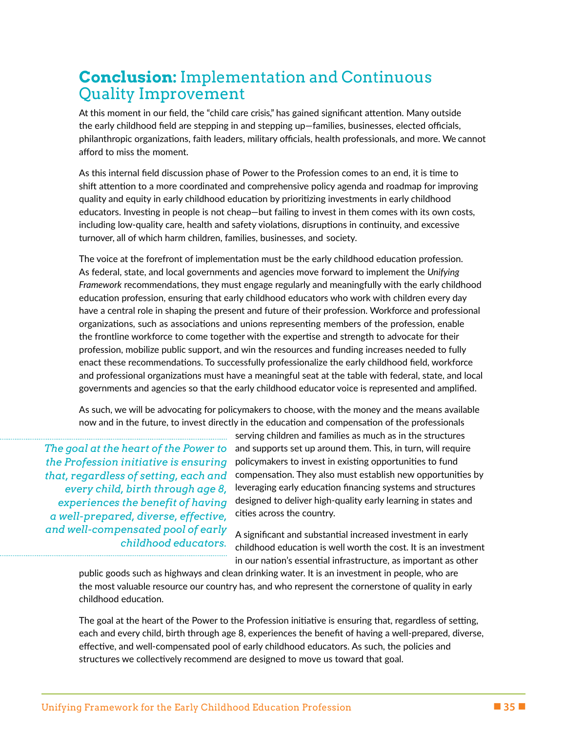# <span id="page-38-0"></span>**Conclusion:** Implementation and Continuous Quality Improvement

At this moment in our field, the "child care crisis," has gained significant attention. Many outside the early childhood field are stepping in and stepping up—families, businesses, elected officials, philanthropic organizations, faith leaders, military officials, health professionals, and more. We cannot afford to miss the moment.

As this internal field discussion phase of Power to the Profession comes to an end, it is time to shift attention to a more coordinated and comprehensive policy agenda and roadmap for improving quality and equity in early childhood education by prioritizing investments in early childhood educators. Investing in people is not cheap—but failing to invest in them comes with its own costs, including low-quality care, health and safety violations, disruptions in continuity, and excessive turnover, all of which harm children, families, businesses, and society.

The voice at the forefront of implementation must be the early childhood education profession. As federal, state, and local governments and agencies move forward to implement the *Unifying Framework* recommendations, they must engage regularly and meaningfully with the early childhood education profession, ensuring that early childhood educators who work with children every day have a central role in shaping the present and future of their profession. Workforce and professional organizations, such as associations and unions representing members of the profession, enable the frontline workforce to come together with the expertise and strength to advocate for their profession, mobilize public support, and win the resources and funding increases needed to fully enact these recommendations. To successfully professionalize the early childhood field, workforce and professional organizations must have a meaningful seat at the table with federal, state, and local governments and agencies so that the early childhood educator voice is represented and amplified. Final to philosophia of the method of the profession and processor and the section of the the method of this internal field discussion phase of Power to the Profession comes to an end, it is then to shift internal field di

As such, we will be advocating for policymakers to choose, with the money and the means available now and in the future, to invest directly in the education and compensation of the professionals

*The goal at the heart of the Power to the Profession initiative is ensuring that, regardless of setting, each and every child, birth through age 8, experiences the benefit of having a well-prepared, diverse, effective, and well-compensated pool of early childhood educators.* 

serving children and families as much as in the structures and supports set up around them. This, in turn, will require policymakers to invest in existing opportunities to fund compensation. They also must establish new opportunities by leveraging early education financing systems and structures designed to deliver high-quality early learning in states and cities across the country.

A significant and substantial increased investment in early childhood education is well worth the cost. It is an investment in our nation's essential infrastructure, as important as other

public goods such as highways and clean drinking water. It is an investment in people, who are the most valuable resource our country has, and who represent the cornerstone of quality in early childhood education.

The goal at the heart of the Power to the Profession initiative is ensuring that, regardless of setting, each and every child, birth through age 8, experiences the benefit of having a well-prepared, diverse, effective, and well-compensated pool of early childhood educators. As such, the policies and structures we collectively recommend are designed to move us toward that goal.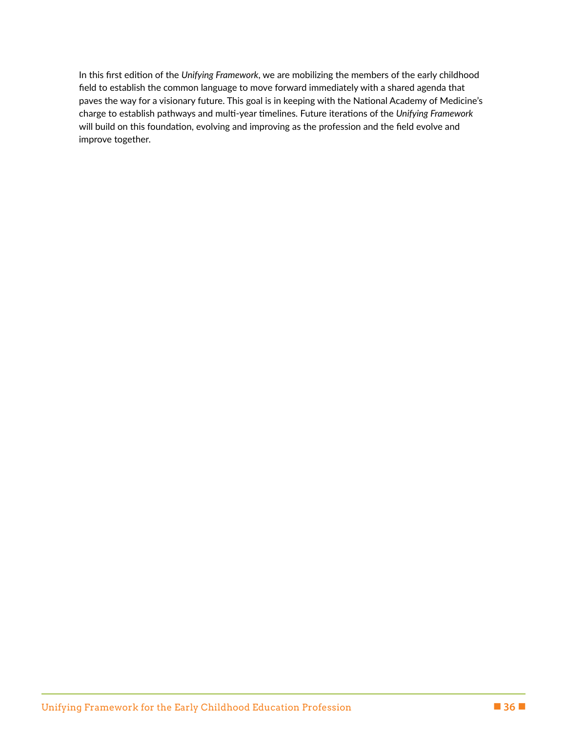In this first edition of the *Unifying Framework*, we are mobilizing the members of the early childhood field to establish the common language to move forward immediately with a shared agenda that paves the way for a visionary future. This goal is in keeping with the National Academy of Medicine's charge to establish pathways and multi-year timelines. Future iterations of the *Unifying Framework* will build on this foundation, evolving and improving as the profession and the field evolve and improve together. DRAFT **EMBARGOEDE**<br>DRAFT **EMBARGOEDE**<br>DRAFT **EMBARGOEDE**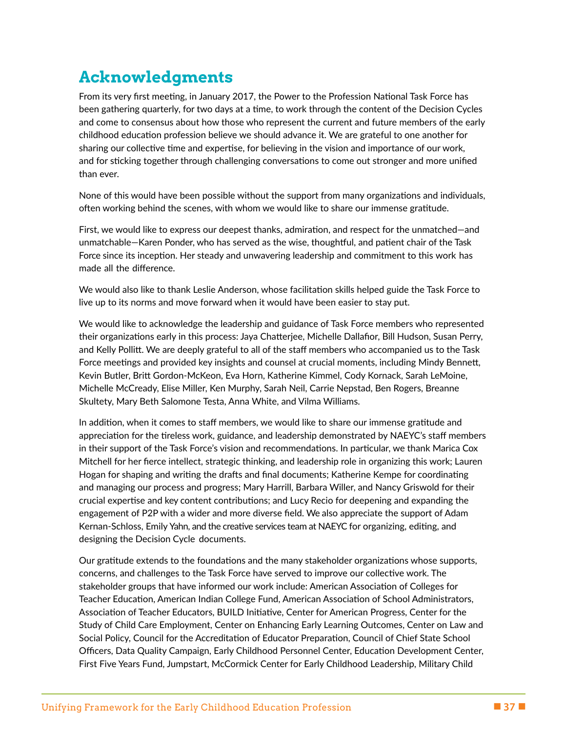# <span id="page-40-0"></span>**Acknowledgments**

From its very first meeting, in January 2017, the Power to the Profession National Task Force has been gathering quarterly, for two days at a time, to work through the content of the Decision Cycles and come to consensus about how those who represent the current and future members of the early childhood education profession believe we should advance it. We are grateful to one another for sharing our collective time and expertise, for believing in the vision and importance of our work, and for sticking together through challenging conversations to come out stronger and more unified than ever.

None of this would have been possible without the support from many organizations and individuals, often working behind the scenes, with whom we would like to share our immense gratitude.

First, we would like to express our deepest thanks, admiration, and respect for the unmatched—and unmatchable—Karen Ponder, who has served as the wise, thoughtful, and patient chair of the Task Force since its inception. Her steady and unwavering leadership and commitment to this work has made all the difference.

We would also like to thank Leslie Anderson, whose facilitation skills helped guide the Task Force to live up to its norms and move forward when it would have been easier to stay put.

We would like to acknowledge the leadership and guidance of Task Force members who represented their organizations early in this process: Jaya Chatterjee, Michelle Dallafior, Bill Hudson, Susan Perry, and Kelly Pollitt. We are deeply grateful to all of the staff members who accompanied us to the Task Force meetings and provided key insights and counsel at crucial moments, including Mindy Bennett, Kevin Butler, Britt Gordon-McKeon, Eva Horn, Katherine Kimmel, Cody Kornack, Sarah LeMoine, Michelle McCready, Elise Miller, Ken Murphy, Sarah Neil, Carrie Nepstad, Ben Rogers, Breanne Skultety, Mary Beth Salomone Testa, Anna White, and Vilma Williams.

In addition, when it comes to staff members, we would like to share our immense gratitude and appreciation for the tireless work, guidance, and leadership demonstrated by NAEYC's staff members in their support of the Task Force's vision and recommendations. In particular, we thank Marica Cox Mitchell for her fierce intellect, strategic thinking, and leadership role in organizing this work; Lauren Hogan for shaping and writing the drafts and final documents; Katherine Kempe for coordinating and managing our process and progress; Mary Harrill, Barbara Willer, and Nancy Griswold for their crucial expertise and key content contributions; and Lucy Recio for deepening and expanding the engagement of P2P with a wider and more diverse field. We also appreciate the support of Adam Kernan-Schloss, Emily Yahn, and the creative services team at NAEYC for organizing, editing, and designing the Decision Cycle documents. sharing our collective time and expertise, for believing in the vision and importance of our vortical<br>and for sticking tagether through challenging conversations to come out stronger and more unified<br>than ever.<br>None or thi

Our gratitude extends to the foundations and the many stakeholder organizations whose supports, concerns, and challenges to the Task Force have served to improve our collective work. The stakeholder groups that have informed our work include: American Association of Colleges for Teacher Education, American Indian College Fund, American Association of School Administrators, Association of Teacher Educators, BUILD Initiative, Center for American Progress, Center for the Study of Child Care Employment, Center on Enhancing Early Learning Outcomes, Center on Law and Social Policy, Council for the Accreditation of Educator Preparation, Council of Chief State School Officers, Data Quality Campaign, Early Childhood Personnel Center, Education Development Center, First Five Years Fund, Jumpstart, McCormick Center for Early Childhood Leadership, Military Child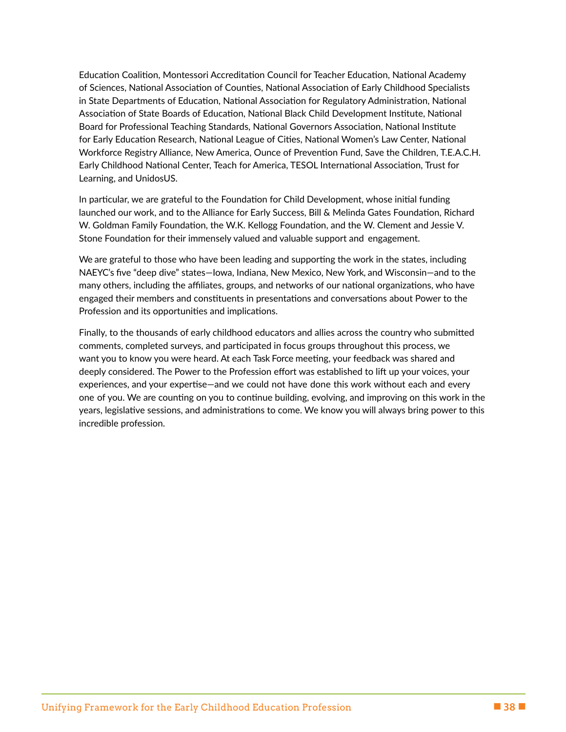Education Coalition, Montessori Accreditation Council for Teacher Education, National Academy of Sciences, National Association of Counties, National Association of Early Childhood Specialists in State Departments of Education, National Association for Regulatory Administration, National Association of State Boards of Education, National Black Child Development Institute, National Board for Professional Teaching Standards, National Governors Association, National Institute for Early Education Research, National League of Cities, National Women's Law Center, National Workforce Registry Alliance, New America, Ounce of Prevention Fund, Save the Children, T.E.A.C.H. Early Childhood National Center, Teach for America, TESOL International Association, Trust for Learning, and UnidosUS.

In particular, we are grateful to the Foundation for Child Development, whose initial funding launched our work, and to the Alliance for Early Success, Bill & Melinda Gates Foundation, Richard W. Goldman Family Foundation, the W.K. Kellogg Foundation, and the W. Clement and Jessie V. Stone Foundation for their immensely valued and valuable support and engagement.

We are grateful to those who have been leading and supporting the work in the states, including NAEYC's five "deep dive" states—Iowa, Indiana, New Mexico, New York, and Wisconsin—and to the many others, including the affiliates, groups, and networks of our national organizations, who have engaged their members and constituents in presentations and conversations about Power to the Profession and its opportunities and implications.

Finally, to the thousands of early childhood educators and allies across the country who submitted comments, completed surveys, and participated in focus groups throughout this process, we want you to know you were heard. At each Task Force meeting, your feedback was shared and deeply considered. The Power to the Profession effort was established to lift up your voices, your experiences, and your expertise—and we could not have done this work without each and every one of you. We are counting on you to continue building, evolving, and improving on this work in the years, legislative sessions, and administrations to come. We know you will always bring power to this ion to constant the profession in each of the Protect, valid in the Valid in the Chief, valid in the Chief, valid in the Chief Milleno, New America, Quine of Prevention Fund, Save the Children, T.E.A.C.H.<br>Early Childhood N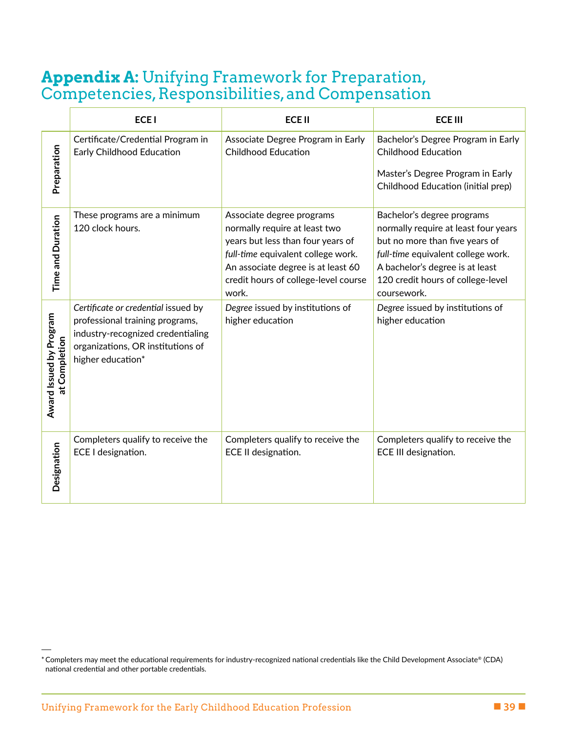# <span id="page-42-0"></span>**Appendix A:** Unifying Framework for Preparation, Competencies, Responsibilities, and Compensation

|                                          | <b>ECEI</b>                                                                                                                                                           | <b>ECE II</b>                                                                                                                                                                                                                | <b>ECE III</b>                                                                                                                                                                                                                    |
|------------------------------------------|-----------------------------------------------------------------------------------------------------------------------------------------------------------------------|------------------------------------------------------------------------------------------------------------------------------------------------------------------------------------------------------------------------------|-----------------------------------------------------------------------------------------------------------------------------------------------------------------------------------------------------------------------------------|
| Preparation                              | Certificate/Credential Program in<br>Early Childhood Education                                                                                                        | Associate Degree Program in Early<br><b>Childhood Education</b>                                                                                                                                                              | Bachelor's Degree Program in Early<br><b>Childhood Education</b><br>Master's Degree Program in Early<br>Childhood Education (initial prep)                                                                                        |
| <b>Time and Duration</b>                 | These programs are a minimum<br>120 clock hours.                                                                                                                      | Associate degree programs<br>normally require at least two<br>years but less than four years of<br>full-time equivalent college work.<br>An associate degree is at least 60<br>credit hours of college-level course<br>work. | Bachelor's degree programs<br>normally require at least four years<br>but no more than five years of<br>full-time equivalent college work.<br>A bachelor's degree is at least<br>120 credit hours of college-level<br>coursework. |
| Award Issued by Program<br>at Completion | Certificate or credential issued by<br>professional training programs,<br>industry-recognized credentialing<br>organizations, OR institutions of<br>higher education* | Degree issued by institutions of<br>higher education                                                                                                                                                                         | Degree issued by institutions of<br>higher education                                                                                                                                                                              |
| Designation                              | Completers qualify to receive the<br>ECE I designation.                                                                                                               | Completers qualify to receive the<br>ECE II designation.                                                                                                                                                                     | Completers qualify to receive the<br>ECE III designation.                                                                                                                                                                         |
|                                          |                                                                                                                                                                       |                                                                                                                                                                                                                              |                                                                                                                                                                                                                                   |
|                                          |                                                                                                                                                                       |                                                                                                                                                                                                                              |                                                                                                                                                                                                                                   |

<sup>\*</sup>Completers may meet the educational requirements for industry-recognized national credentials like the Child Development Associate® (CDA) national credential and other portable credentials.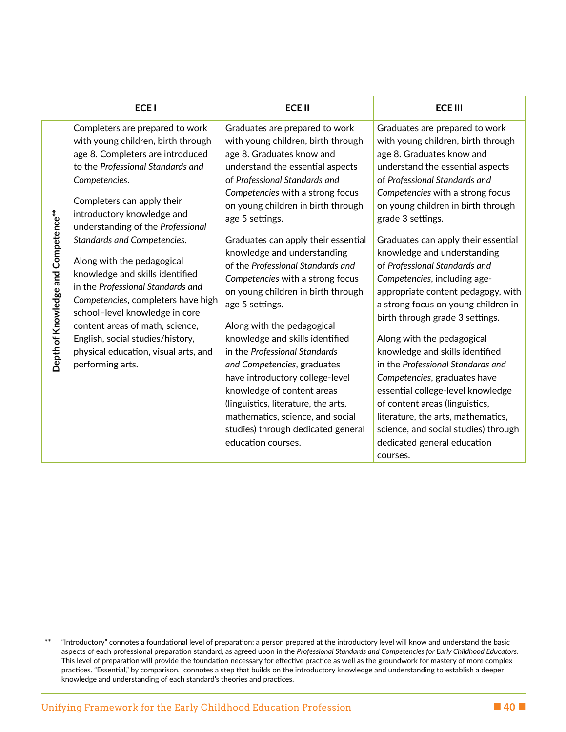|                                     | <b>ECEI</b>                                                                                                                                                                                                                                                                                                                                                                                                                                                                                                                                                                                                      | <b>ECE II</b>                                                                                                                                                                                                                                                                                                                                                                                                                                                                                                                                                                                                                                                                                                                                                                                                        | <b>ECE III</b>                                                                                                                                                                                                                                                                                                                                                                                                                                                                                                                                                                                                                                                                                                                                                                                                                                                     |
|-------------------------------------|------------------------------------------------------------------------------------------------------------------------------------------------------------------------------------------------------------------------------------------------------------------------------------------------------------------------------------------------------------------------------------------------------------------------------------------------------------------------------------------------------------------------------------------------------------------------------------------------------------------|----------------------------------------------------------------------------------------------------------------------------------------------------------------------------------------------------------------------------------------------------------------------------------------------------------------------------------------------------------------------------------------------------------------------------------------------------------------------------------------------------------------------------------------------------------------------------------------------------------------------------------------------------------------------------------------------------------------------------------------------------------------------------------------------------------------------|--------------------------------------------------------------------------------------------------------------------------------------------------------------------------------------------------------------------------------------------------------------------------------------------------------------------------------------------------------------------------------------------------------------------------------------------------------------------------------------------------------------------------------------------------------------------------------------------------------------------------------------------------------------------------------------------------------------------------------------------------------------------------------------------------------------------------------------------------------------------|
| Depth of Knowledge and Competence** | Completers are prepared to work<br>with young children, birth through<br>age 8. Completers are introduced<br>to the Professional Standards and<br>Competencies.<br>Completers can apply their<br>introductory knowledge and<br>understanding of the Professional<br>Standards and Competencies.<br>Along with the pedagogical<br>knowledge and skills identified<br>in the Professional Standards and<br>Competencies, completers have high<br>school-level knowledge in core<br>content areas of math, science,<br>English, social studies/history,<br>physical education, visual arts, and<br>performing arts. | Graduates are prepared to work<br>with young children, birth through<br>age 8. Graduates know and<br>understand the essential aspects<br>of Professional Standards and<br>Competencies with a strong focus<br>on young children in birth through<br>age 5 settings.<br>Graduates can apply their essential<br>knowledge and understanding<br>of the Professional Standards and<br>Competencies with a strong focus<br>on young children in birth through<br>age 5 settings.<br>Along with the pedagogical<br>knowledge and skills identified<br>in the Professional Standards<br>and Competencies, graduates<br>have introductory college-level<br>knowledge of content areas<br>(linguistics, literature, the arts,<br>mathematics, science, and social<br>studies) through dedicated general<br>education courses. | Graduates are prepared to work<br>with young children, birth through<br>age 8. Graduates know and<br>understand the essential aspects<br>of Professional Standards and<br>Competencies with a strong focus<br>on young children in birth through<br>grade 3 settings.<br>Graduates can apply their essential<br>knowledge and understanding<br>of Professional Standards and<br>Competencies, including age-<br>appropriate content pedagogy, with<br>a strong focus on young children in<br>birth through grade 3 settings.<br>Along with the pedagogical<br>knowledge and skills identified<br>in the Professional Standards and<br>Competencies, graduates have<br>essential college-level knowledge<br>of content areas (linguistics,<br>literature, the arts, mathematics,<br>science, and social studies) through<br>dedicated general education<br>courses. |
|                                     |                                                                                                                                                                                                                                                                                                                                                                                                                                                                                                                                                                                                                  |                                                                                                                                                                                                                                                                                                                                                                                                                                                                                                                                                                                                                                                                                                                                                                                                                      |                                                                                                                                                                                                                                                                                                                                                                                                                                                                                                                                                                                                                                                                                                                                                                                                                                                                    |

<sup>\*\*</sup> "Introductory" connotes a foundational level of preparation; a person prepared at the introductory level will know and understand the basic aspects of each professional preparation standard, as agreed upon in the *Professional Standards and Competencies for Early Childhood Educators*. This level of preparation will provide the foundation necessary for effective practice as well as the groundwork for mastery of more complex practices. "Essential," by comparison, connotes a step that builds on the introductory knowledge and understanding to establish a deeper knowledge and understanding of each standard's theories and practices.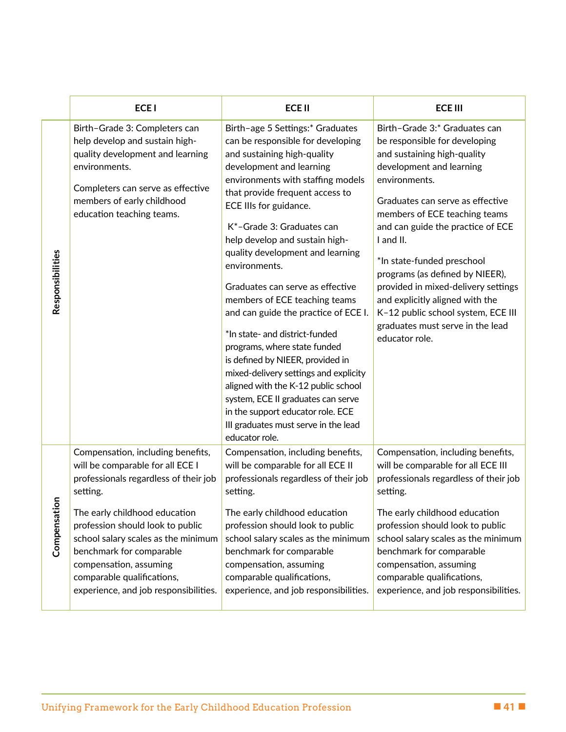|                  | <b>ECEI</b>                                                                                                                                                                                                                                                                                                                                                         | <b>ECE II</b>                                                                                                                                                                                                                                                                                                                                                                                                                                                                                                                                                                                                                                                                                                                                                                                  | <b>ECE III</b>                                                                                                                                                                                                                                                                                                                                                                                                                                                                                           |
|------------------|---------------------------------------------------------------------------------------------------------------------------------------------------------------------------------------------------------------------------------------------------------------------------------------------------------------------------------------------------------------------|------------------------------------------------------------------------------------------------------------------------------------------------------------------------------------------------------------------------------------------------------------------------------------------------------------------------------------------------------------------------------------------------------------------------------------------------------------------------------------------------------------------------------------------------------------------------------------------------------------------------------------------------------------------------------------------------------------------------------------------------------------------------------------------------|----------------------------------------------------------------------------------------------------------------------------------------------------------------------------------------------------------------------------------------------------------------------------------------------------------------------------------------------------------------------------------------------------------------------------------------------------------------------------------------------------------|
| Responsibilities | Birth-Grade 3: Completers can<br>help develop and sustain high-<br>quality development and learning<br>environments.<br>Completers can serve as effective<br>members of early childhood<br>education teaching teams.                                                                                                                                                | Birth-age 5 Settings:* Graduates<br>can be responsible for developing<br>and sustaining high-quality<br>development and learning<br>environments with staffing models<br>that provide frequent access to<br>ECE IIIs for guidance.<br>K*-Grade 3: Graduates can<br>help develop and sustain high-<br>quality development and learning<br>environments.<br>Graduates can serve as effective<br>members of ECE teaching teams<br>and can guide the practice of ECE I.<br>*In state- and district-funded<br>programs, where state funded<br>is defined by NIEER, provided in<br>mixed-delivery settings and explicity<br>aligned with the K-12 public school<br>system, ECE II graduates can serve<br>in the support educator role. ECE<br>III graduates must serve in the lead<br>educator role. | Birth-Grade 3:* Graduates can<br>be responsible for developing<br>and sustaining high-quality<br>development and learning<br>environments.<br>Graduates can serve as effective<br>members of ECE teaching teams<br>and can guide the practice of ECE<br>I and II.<br>*In state-funded preschool<br>programs (as defined by NIEER),<br>provided in mixed-delivery settings<br>and explicitly aligned with the<br>K-12 public school system, ECE III<br>graduates must serve in the lead<br>educator role. |
| δ<br>Compensati  | Compensation, including benefits,<br>will be comparable for all ECE I<br>professionals regardless of their job<br>setting.<br>The early childhood education<br>profession should look to public<br>school salary scales as the minimum<br>benchmark for comparable<br>compensation, assuming<br>comparable qualifications,<br>experience, and job responsibilities. | Compensation, including benefits,<br>will be comparable for all ECE II<br>professionals regardless of their job<br>setting.<br>The early childhood education<br>profession should look to public<br>school salary scales as the minimum<br>benchmark for comparable<br>compensation, assuming<br>comparable qualifications,<br>experience, and job responsibilities.                                                                                                                                                                                                                                                                                                                                                                                                                           | Compensation, including benefits,<br>will be comparable for all ECE III<br>professionals regardless of their job<br>setting.<br>The early childhood education<br>profession should look to public<br>school salary scales as the minimum<br>benchmark for comparable<br>compensation, assuming<br>comparable qualifications,<br>experience, and job responsibilities.                                                                                                                                    |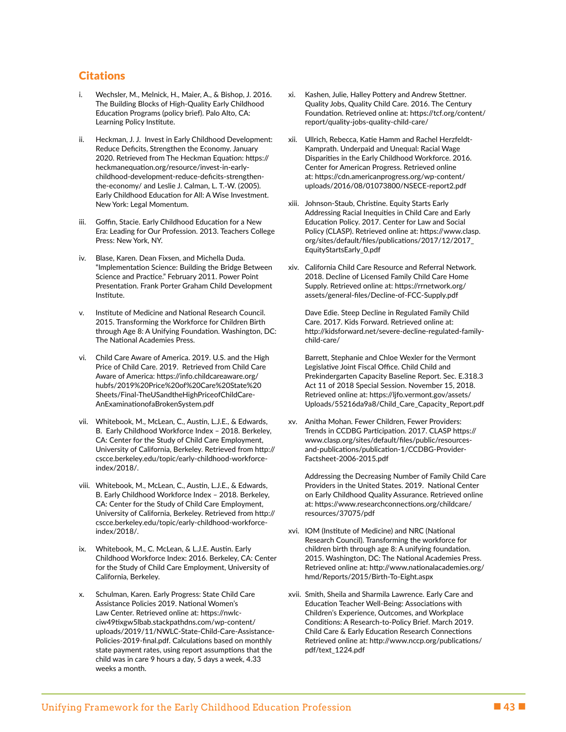#### <span id="page-46-0"></span>**Citations**

- i. Wechsler, M., Melnick, H., Maier, A., & Bishop, J. 2016. The Building Blocks of High-Quality Early Childhood Education Programs (policy brief). Palo Alto, CA: Learning Policy Institute.
- ii. Heckman, J. J. Invest in Early Childhood Development: Reduce Deficits, Strengthen the Economy. January 2020. Retrieved from The Heckman Equation: https:// heckmanequation.org/resource/invest-in-earlychildhood-development-reduce-deficits-strengthenthe-economy/ and Leslie J. Calman, L. T.-W. (2005). Early Childhood Education for All: A Wise Investment. New York: Legal Momentum. **PARAGO DEVELOP INTERFERENCE IN the matter of the state of the state of the state of the state of the state of the state of the state of the state of the state of the state of the state of the state of the state of the st** 
	- iii. Goffin, Stacie. Early Childhood Education for a New Era: Leading for Our Profession. 2013. Teachers College Press: New York, NY.
	- iv. Blase, Karen. Dean Fixsen, and Michella Duda. "Implementation Science: Building the Bridge Between Science and Practice." February 2011. Power Point Presentation. Frank Porter Graham Child Development Institute.
	- v. Institute of Medicine and National Research Council. 2015. Transforming the Workforce for Children Birth through Age 8: A Unifying Foundation. Washington, DC: The National Academies Press.
	- vi. Child Care Aware of America. 2019. U.S. and the High Price of Child Care. 2019. Retrieved from Child Care Aware of America: https://info.childcareaware.org/ hubfs/2019%20Price%20of%20Care%20State%20 Sheets/Final-TheUSandtheHighPriceofChildCare-AnExaminationofaBrokenSystem.pdf
	- vii. Whitebook, M., McLean, C., Austin, L.J.E., & Edwards, B. Early Childhood Workforce Index – 2018. Berkeley, CA: Center for the Study of Child Care Employment, University of California, Berkeley. Retrieved from http:// cscce.berkeley.edu/topic/early-childhood-workforceindex/2018/.
	- viii. Whitebook, M., McLean, C., Austin, L.J.E., & Edwards, B. Early Childhood Workforce Index – 2018. Berkeley, CA: Center for the Study of Child Care Employment, University of California, Berkeley. Retrieved from http:// cscce.berkeley.edu/topic/early-childhood-workforceindex/2018/.
	- ix. Whitebook, M., C. McLean, & L.J.E. Austin. Early Childhood Workforce Index: 2016. Berkeley, CA: Center for the Study of Child Care Employment, University of California, Berkeley.
	- x. Schulman, Karen. Early Progress: State Child Care Assistance Policies 2019. National Women's Law Center. Retrieved online at: https://nwlcciw49tixgw5lbab.stackpathdns.com/wp-content/ uploads/2019/11/NWLC-State-Child-Care-Assistance-Policies-2019-final.pdf. Calculations based on monthly state payment rates, using report assumptions that the child was in care 9 hours a day, 5 days a week, 4.33 weeks a month.
- xi. Kashen, Julie, Halley Pottery and Andrew Stettner. Quality Jobs, Quality Child Care. 2016. The Century Foundation. Retrieved online at: https://tcf.org/content/ report/quality-jobs-quality-child-care/
- xii. Ullrich, Rebecca, Katie Hamm and Rachel Herzfeldt-Kamprath. Underpaid and Unequal: Racial Wage Disparities in the Early Childhood Workforce. 2016. Center for American Progress. Retrieved online at: https://cdn.americanprogress.org/wp-content/ uploads/2016/08/01073800/NSECE-report2.pdf
- xiii. Johnson-Staub, Christine. Equity Starts Early Addressing Racial Inequities in Child Care and Early Education Policy. 2017. Center for Law and Social Policy (CLASP). Retrieved online at: https://www.clasp. org/sites/default/files/publications/2017/12/2017\_ EquityStartsEarly\_0.pdf
- xiv. California Child Care Resource and Referral Network. 2018. Decline of Licensed Family Child Care Home Supply. Retrieved online at: https://rrnetwork.org/ assets/general-files/Decline-of-FCC-Supply.pdf

Dave Edie. Steep Decline in Regulated Family Child Care. 2017. Kids Forward. Retrieved online at: http://kidsforward.net/severe-decline-regulated-familychild-care/

Barrett, Stephanie and Chloe Wexler for the Vermont Legislative Joint Fiscal Office. Child Child and Prekindergarten Capacity Baseline Report. Sec. E.318.3 Act 11 of 2018 Special Session. November 15, 2018. Retrieved online at: https://ljfo.vermont.gov/assets/ Uploads/55216da9a8/Child\_Care\_Capacity\_Report.pdf

xv. Anitha Mohan. Fewer Children, Fewer Providers: Trends in CCDBG Participation. 2017. CLASP https:// www.clasp.org/sites/default/files/public/resourcesand-publications/publication-1/CCDBG-Provider-Factsheet-2006-2015.pdf

Addressing the Decreasing Number of Family Child Care Providers in the United States. 2019. National Center on Early Childhood Quality Assurance. Retrieved online at: https://www.researchconnections.org/childcare/ resources/37075/pdf

- xvi. IOM (Institute of Medicine) and NRC (National Research Council). Transforming the workforce for children birth through age 8: A unifying foundation. 2015. Washington, DC: The National Academies Press. Retrieved online at: http://www.nationalacademies.org/ hmd/Reports/2015/Birth-To-Eight.aspx
- xvii. Smith, Sheila and Sharmila Lawrence. Early Care and Education Teacher Well-Being: Associations with Children's Experience, Outcomes, and Workplace Conditions: A Research-to-Policy Brief. March 2019. Child Care & Early Education Research Connections Retrieved online at: http://www.nccp.org/publications/ pdf/text\_1224.pdf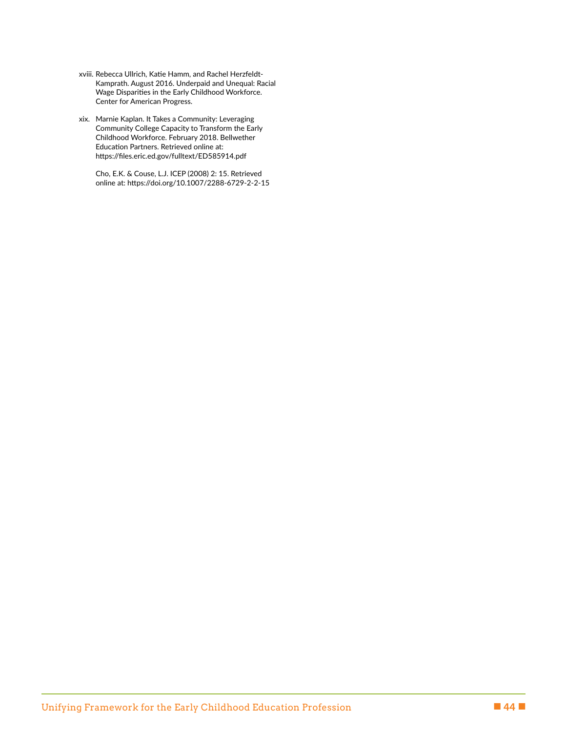- xviii. Rebecca Ullrich, Katie Hamm, and Rachel Herzfeldt-Kamprath. August 2016. Underpaid and Unequal: Racial Wage Disparities in the Early Childhood Workforce. Center for American Progress.
- xix. Marnie Kaplan. It Takes a Community: Leveraging Community College Capacity to Transform the Early Childhood Workforce. February 2018. Bellwether Education Partners. Retrieved online at: https://files.eric.ed.gov/fulltext/ED585914.pdf Exicación Pertineys, Reizhoek dolin e z<br>Nigera Phila arcelonal (Barcelona) (Barcelona) (Barcelona)<br>Nigera Phila arcelonal (Barcelona) (Barcelona)<br>Cho, E.K. & Couns, L.J. (CEP (DINS) (2-3.5, Reizhoek<br>Unitre al: Nigera Aldar

Cho, E.K. & Couse, L.J. ICEP (2008) 2: 15. Retrieved online at: https://doi.org/10.1007/2288-6729-2-2-15